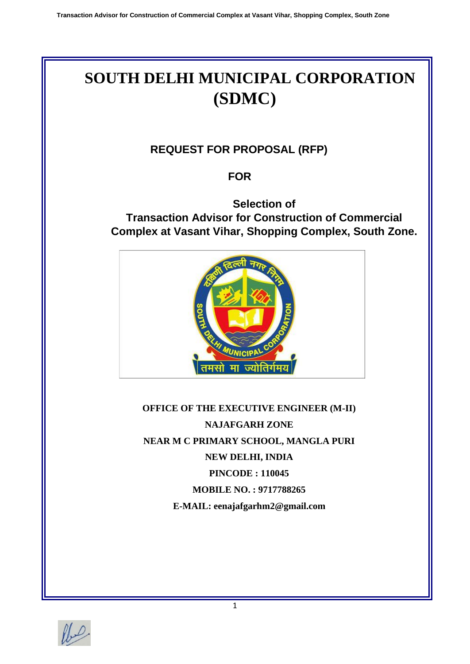# **SOUTH DELHI MUNICIPAL CORPORATION (SDMC)**

# **REQUEST FOR PROPOSAL (RFP)**

# **FOR**

# **Selection of Transaction Advisor for Construction of Commercial Complex at Vasant Vihar, Shopping Complex, South Zone.**



**OFFICE OF THE EXECUTIVE ENGINEER (M-II) NAJAFGARH ZONE NEAR M C PRIMARY SCHOOL, MANGLA PURI NEW DELHI, INDIA PINCODE : 110045 MOBILE NO. : 9717788265 E-MAIL: eenajafgarhm2@gmail.com**

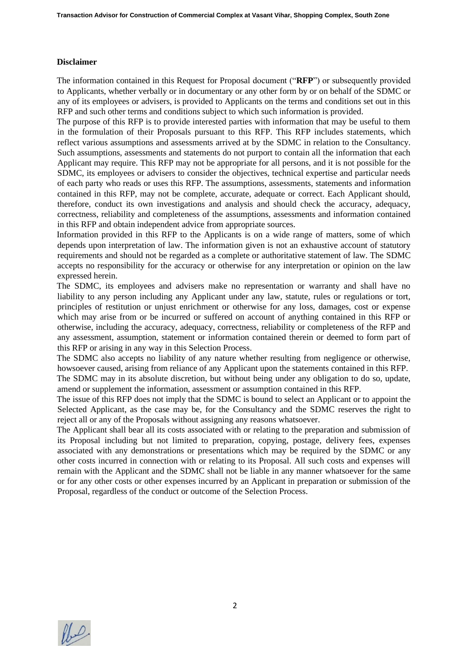#### **Disclaimer**

The information contained in this Request for Proposal document ("**RFP**") or subsequently provided to Applicants, whether verbally or in documentary or any other form by or on behalf of the SDMC or any of its employees or advisers, is provided to Applicants on the terms and conditions set out in this RFP and such other terms and conditions subject to which such information is provided.

The purpose of this RFP is to provide interested parties with information that may be useful to them in the formulation of their Proposals pursuant to this RFP. This RFP includes statements, which reflect various assumptions and assessments arrived at by the SDMC in relation to the Consultancy. Such assumptions, assessments and statements do not purport to contain all the information that each Applicant may require. This RFP may not be appropriate for all persons, and it is not possible for the SDMC, its employees or advisers to consider the objectives, technical expertise and particular needs of each party who reads or uses this RFP. The assumptions, assessments, statements and information contained in this RFP, may not be complete, accurate, adequate or correct. Each Applicant should, therefore, conduct its own investigations and analysis and should check the accuracy, adequacy, correctness, reliability and completeness of the assumptions, assessments and information contained in this RFP and obtain independent advice from appropriate sources.

Information provided in this RFP to the Applicants is on a wide range of matters, some of which depends upon interpretation of law. The information given is not an exhaustive account of statutory requirements and should not be regarded as a complete or authoritative statement of law. The SDMC accepts no responsibility for the accuracy or otherwise for any interpretation or opinion on the law expressed herein.

The SDMC, its employees and advisers make no representation or warranty and shall have no liability to any person including any Applicant under any law, statute, rules or regulations or tort, principles of restitution or unjust enrichment or otherwise for any loss, damages, cost or expense which may arise from or be incurred or suffered on account of anything contained in this RFP or otherwise, including the accuracy, adequacy, correctness, reliability or completeness of the RFP and any assessment, assumption, statement or information contained therein or deemed to form part of this RFP or arising in any way in this Selection Process.

The SDMC also accepts no liability of any nature whether resulting from negligence or otherwise, howsoever caused, arising from reliance of any Applicant upon the statements contained in this RFP.

The SDMC may in its absolute discretion, but without being under any obligation to do so, update, amend or supplement the information, assessment or assumption contained in this RFP.

The issue of this RFP does not imply that the SDMC is bound to select an Applicant or to appoint the Selected Applicant, as the case may be, for the Consultancy and the SDMC reserves the right to reject all or any of the Proposals without assigning any reasons whatsoever.

The Applicant shall bear all its costs associated with or relating to the preparation and submission of its Proposal including but not limited to preparation, copying, postage, delivery fees, expenses associated with any demonstrations or presentations which may be required by the SDMC or any other costs incurred in connection with or relating to its Proposal. All such costs and expenses will remain with the Applicant and the SDMC shall not be liable in any manner whatsoever for the same or for any other costs or other expenses incurred by an Applicant in preparation or submission of the Proposal, regardless of the conduct or outcome of the Selection Process.

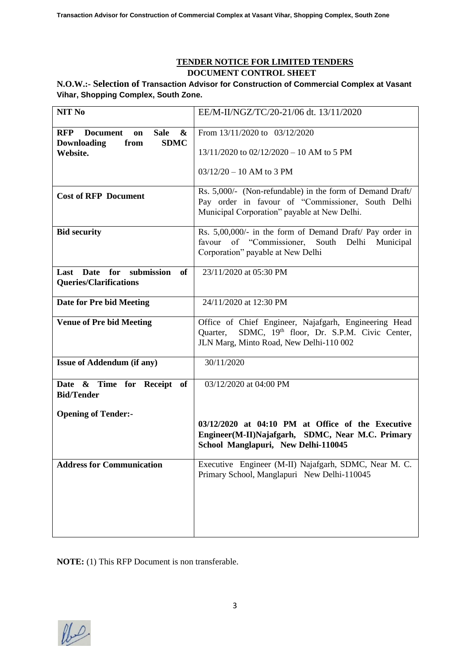# **TENDER NOTICE FOR LIMITED TENDERS DOCUMENT CONTROL SHEET**

# **N.O.W.:- Selection of Transaction Advisor for Construction of Commercial Complex at Vasant Vihar, Shopping Complex, South Zone.**

| EE/M-II/NGZ/TC/20-21/06 dt. 13/11/2020                                                                                                                         |
|----------------------------------------------------------------------------------------------------------------------------------------------------------------|
| From 13/11/2020 to 03/12/2020<br>$13/11/2020$ to $02/12/2020 - 10$ AM to 5 PM                                                                                  |
| $03/12/20 - 10$ AM to 3 PM                                                                                                                                     |
| Rs. 5,000/- (Non-refundable) in the form of Demand Draft/<br>Pay order in favour of "Commissioner, South Delhi<br>Municipal Corporation" payable at New Delhi. |
| Rs. 5,00,000/- in the form of Demand Draft/ Pay order in<br>of "Commissioner, South Delhi<br>favour<br>Municipal<br>Corporation" payable at New Delhi          |
| 23/11/2020 at 05:30 PM                                                                                                                                         |
| 24/11/2020 at 12:30 PM                                                                                                                                         |
| Office of Chief Engineer, Najafgarh, Engineering Head<br>SDMC, 19th floor, Dr. S.P.M. Civic Center,<br>Quarter,<br>JLN Marg, Minto Road, New Delhi-110 002     |
| 30/11/2020                                                                                                                                                     |
| 03/12/2020 at 04:00 PM                                                                                                                                         |
| 03/12/2020 at 04:10 PM at Office of the Executive<br>Engineer(M-II)Najafgarh, SDMC, Near M.C. Primary<br>School Manglapuri, New Delhi-110045                   |
| Executive Engineer (M-II) Najafgarh, SDMC, Near M. C.<br>Primary School, Manglapuri New Delhi-110045                                                           |
|                                                                                                                                                                |

**NOTE:** (1) This RFP Document is non transferable.

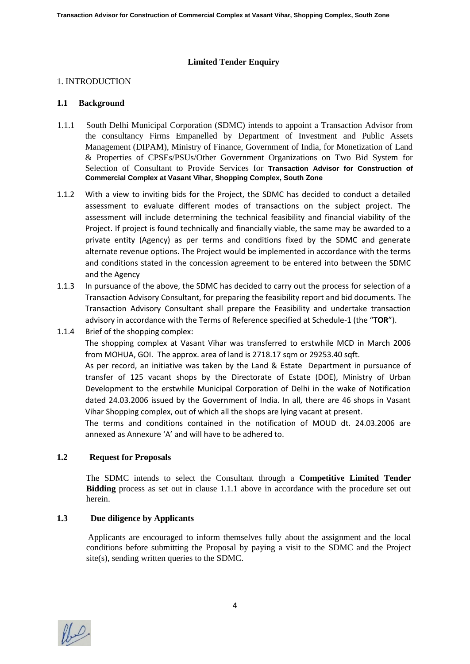#### **Limited Tender Enquiry**

#### 1. INTRODUCTION

#### **1.1 Background**

- 1.1.1 South Delhi Municipal Corporation (SDMC) intends to appoint a Transaction Advisor from the consultancy Firms Empanelled by Department of Investment and Public Assets Management (DIPAM), Ministry of Finance, Government of India, for Monetization of Land & Properties of CPSEs/PSUs/Other Government Organizations on Two Bid System for Selection of Consultant to Provide Services for **Transaction Advisor for Construction of Commercial Complex at Vasant Vihar, Shopping Complex, South Zone**
- 1.1.2 With a view to inviting bids for the Project, the SDMC has decided to conduct a detailed assessment to evaluate different modes of transactions on the subject project. The assessment will include determining the technical feasibility and financial viability of the Project. If project is found technically and financially viable, the same may be awarded to a private entity (Agency) as per terms and conditions fixed by the SDMC and generate alternate revenue options. The Project would be implemented in accordance with the terms and conditions stated in the concession agreement to be entered into between the SDMC and the Agency
- 1.1.3 In pursuance of the above, the SDMC has decided to carry out the process for selection of a Transaction Advisory Consultant, for preparing the feasibility report and bid documents. The Transaction Advisory Consultant shall prepare the Feasibility and undertake transaction advisory in accordance with the Terms of Reference specified at Schedule-1 (the "**TOR**").
- 1.1.4 Brief of the shopping complex:

The shopping complex at Vasant Vihar was transferred to erstwhile MCD in March 2006 from MOHUA, GOI. The approx. area of land is 2718.17 sqm or 29253.40 sqft.

As per record, an initiative was taken by the Land & Estate Department in pursuance of transfer of 125 vacant shops by the Directorate of Estate (DOE), Ministry of Urban Development to the erstwhile Municipal Corporation of Delhi in the wake of Notification dated 24.03.2006 issued by the Government of India. In all, there are 46 shops in Vasant Vihar Shopping complex, out of which all the shops are lying vacant at present.

The terms and conditions contained in the notification of MOUD dt. 24.03.2006 are annexed as Annexure 'A' and will have to be adhered to.

#### **1.2 Request for Proposals**

The SDMC intends to select the Consultant through a **Competitive Limited Tender Bidding** process as set out in clause 1.1.1 above in accordance with the procedure set out herein.

#### **1.3 Due diligence by Applicants**

Applicants are encouraged to inform themselves fully about the assignment and the local conditions before submitting the Proposal by paying a visit to the SDMC and the Project site(s), sending written queries to the SDMC.

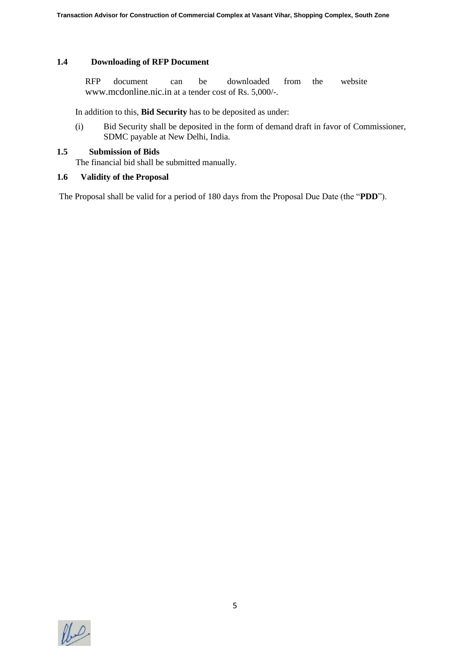#### **1.4 Downloading of RFP Document**

RFP document can be downloaded from the website www.mcdonline.nic.in at a tender cost of Rs. 5,000/-.

In addition to this, **Bid Security** has to be deposited as under:

(i) Bid Security shall be deposited in the form of demand draft in favor of Commissioner, SDMC payable at New Delhi, India.

### **1.5 Submission of Bids**

The financial bid shall be submitted manually.

#### **1.6 Validity of the Proposal**

The Proposal shall be valid for a period of 180 days from the Proposal Due Date (the "**PDD**").

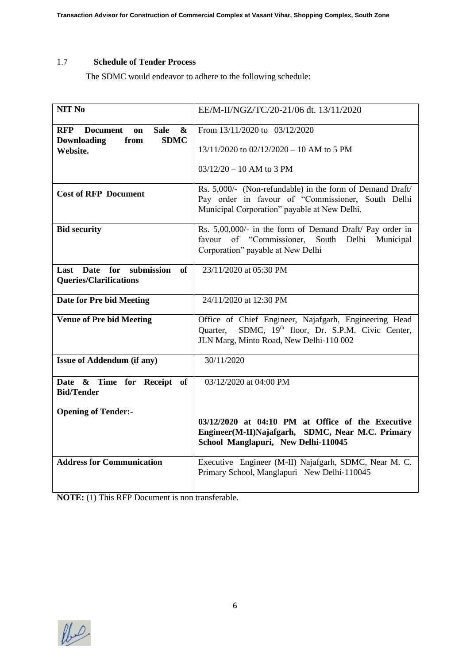### 1.7 **Schedule of Tender Process**

The SDMC would endeavor to adhere to the following schedule:

| NIT <sub>No</sub>                                                       | EE/M-II/NGZ/TC/20-21/06 dt. 13/11/2020                                                                                                                         |  |  |
|-------------------------------------------------------------------------|----------------------------------------------------------------------------------------------------------------------------------------------------------------|--|--|
| <b>Sale</b><br><b>Document</b><br>$\boldsymbol{\&}$<br><b>RFP</b><br>on | From 13/11/2020 to 03/12/2020                                                                                                                                  |  |  |
| <b>Downloading</b><br><b>SDMC</b><br>from<br>Website.                   | 13/11/2020 to 02/12/2020 - 10 AM to 5 PM                                                                                                                       |  |  |
|                                                                         | $03/12/20 - 10$ AM to 3 PM                                                                                                                                     |  |  |
| <b>Cost of RFP Document</b>                                             | Rs. 5,000/- (Non-refundable) in the form of Demand Draft/<br>Pay order in favour of "Commissioner, South Delhi<br>Municipal Corporation" payable at New Delhi. |  |  |
| <b>Bid security</b>                                                     | Rs. 5,00,000/- in the form of Demand Draft/ Pay order in<br>of "Commissioner,<br>favour<br>South<br>Delhi<br>Municipal<br>Corporation" payable at New Delhi    |  |  |
| submission<br>Last Date for<br>of<br><b>Queries/Clarifications</b>      | 23/11/2020 at 05:30 PM                                                                                                                                         |  |  |
| Date for Pre bid Meeting                                                | 24/11/2020 at 12:30 PM                                                                                                                                         |  |  |
| <b>Venue of Pre bid Meeting</b>                                         | Office of Chief Engineer, Najafgarh, Engineering Head<br>SDMC, 19th floor, Dr. S.P.M. Civic Center,<br>Ouarter,<br>JLN Marg, Minto Road, New Delhi-110 002     |  |  |
| <b>Issue of Addendum (if any)</b>                                       | 30/11/2020                                                                                                                                                     |  |  |
| Date & Time for Receipt of<br><b>Bid/Tender</b>                         | 03/12/2020 at 04:00 PM                                                                                                                                         |  |  |
| <b>Opening of Tender:-</b>                                              |                                                                                                                                                                |  |  |
|                                                                         | 03/12/2020 at 04:10 PM at Office of the Executive<br>Engineer(M-II)Najafgarh, SDMC, Near M.C. Primary<br>School Manglapuri, New Delhi-110045                   |  |  |
| <b>Address for Communication</b>                                        | Executive Engineer (M-II) Najafgarh, SDMC, Near M. C.<br>Primary School, Manglapuri New Delhi-110045                                                           |  |  |

**NOTE:** (1) This RFP Document is non transferable.

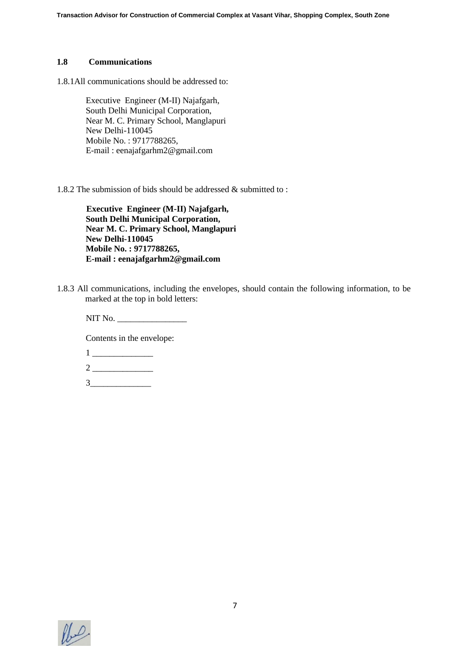#### **1.8 Communications**

1.8.1All communications should be addressed to:

Executive Engineer (M-II) Najafgarh, South Delhi Municipal Corporation, Near M. C. Primary School, Manglapuri New Delhi-110045 Mobile No. : 9717788265, E-mail : eenajafgarhm2@gmail.com

1.8.2 The submission of bids should be addressed & submitted to :

**Executive Engineer (M-II) Najafgarh, South Delhi Municipal Corporation, Near M. C. Primary School, Manglapuri New Delhi-110045 Mobile No. : 9717788265, E-mail : eenajafgarhm2@gmail.com**

1.8.3 All communications, including the envelopes, should contain the following information, to be marked at the top in bold letters:

NIT No. \_\_\_\_\_\_\_\_\_\_\_\_\_\_\_\_

Contents in the envelope:

- $1 \_$
- $2 \overline{\qquad \qquad }$

 $3$ 

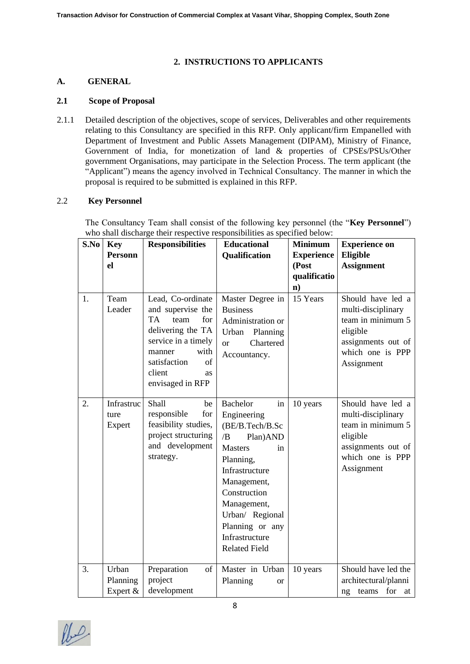#### **2. INSTRUCTIONS TO APPLICANTS**

#### **A. GENERAL**

### **2.1 Scope of Proposal**

2.1.1 Detailed description of the objectives, scope of services, Deliverables and other requirements relating to this Consultancy are specified in this RFP. Only applicant/firm Empanelled with Department of Investment and Public Assets Management (DIPAM), Ministry of Finance, Government of India, for monetization of land & properties of CPSEs/PSUs/Other government Organisations, may participate in the Selection Process. The term applicant (the "Applicant") means the agency involved in Technical Consultancy. The manner in which the proposal is required to be submitted is explained in this RFP.

#### 2.2 **Key Personnel**

The Consultancy Team shall consist of the following key personnel (the "**Key Personnel**") who shall discharge their respective responsibilities as specified below:

| S.No | <b>Key</b><br><b>Personn</b><br>el | <b>Responsibilities</b>                                                                                                                                                                    | <b>Educational</b><br><b>Qualification</b>                                                                                                                                                                                                                      | <b>Minimum</b><br><b>Experience</b><br>(Post<br>qualificatio<br>$\mathbf{n}$ ) | <b>Experience on</b><br>Eligible<br><b>Assignment</b>                                                                            |
|------|------------------------------------|--------------------------------------------------------------------------------------------------------------------------------------------------------------------------------------------|-----------------------------------------------------------------------------------------------------------------------------------------------------------------------------------------------------------------------------------------------------------------|--------------------------------------------------------------------------------|----------------------------------------------------------------------------------------------------------------------------------|
| 1.   | Team<br>Leader                     | Lead, Co-ordinate<br>and supervise the<br>TA<br>team<br>for<br>delivering the TA<br>service in a timely<br>with<br>manner<br>satisfaction<br>of<br>client<br><b>as</b><br>envisaged in RFP | Master Degree in<br><b>Business</b><br>Administration or<br>Planning<br>Urban<br>Chartered<br><sub>or</sub><br>Accountancy.                                                                                                                                     | 15 Years                                                                       | Should have led a<br>multi-disciplinary<br>team in minimum 5<br>eligible<br>assignments out of<br>which one is PPP<br>Assignment |
| 2.   | Infrastruc<br>ture<br>Expert       | Shall<br>be<br>responsible<br>for<br>feasibility studies,<br>project structuring<br>and development<br>strategy.                                                                           | <b>Bachelor</b><br>in<br>Engineering<br>(BE/B.Tech/B.Sc<br>/B<br>Plan) AND<br><b>Masters</b><br>in<br>Planning,<br>Infrastructure<br>Management,<br>Construction<br>Management,<br>Urban/ Regional<br>Planning or any<br>Infrastructure<br><b>Related Field</b> | 10 years                                                                       | Should have led a<br>multi-disciplinary<br>team in minimum 5<br>eligible<br>assignments out of<br>which one is PPP<br>Assignment |
| 3.   | Urban<br>Planning<br>Expert &      | Preparation<br>of<br>project<br>development                                                                                                                                                | Master in Urban<br>Planning<br>or                                                                                                                                                                                                                               | 10 years                                                                       | Should have led the<br>architectural/planni<br>ng teams for<br>at                                                                |

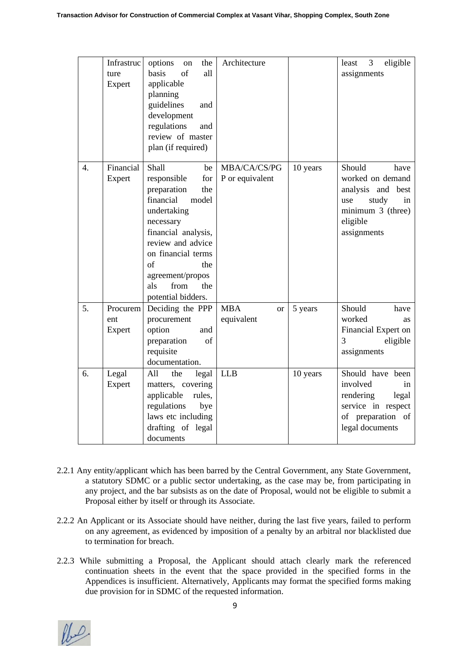|                  | Infrastruc<br>ture<br>Expert | options<br>the<br>on<br>of<br>basis<br>all<br>applicable<br>planning<br>guidelines<br>and<br>development<br>regulations<br>and<br>review of master<br>plan (if required)                                                                                 | Architecture                              |          | eligible<br>3<br>least<br>assignments                                                                                         |
|------------------|------------------------------|----------------------------------------------------------------------------------------------------------------------------------------------------------------------------------------------------------------------------------------------------------|-------------------------------------------|----------|-------------------------------------------------------------------------------------------------------------------------------|
| $\overline{4}$ . | Financial<br>Expert          | Shall<br>be<br>responsible<br>for<br>preparation<br>the<br>financial<br>model<br>undertaking<br>necessary<br>financial analysis,<br>review and advice<br>on financial terms<br>of<br>the<br>agreement/propos<br>from<br>the<br>als<br>potential bidders. | MBA/CA/CS/PG<br>P or equivalent           | 10 years | Should<br>have<br>worked on demand<br>analysis and best<br>study<br>use<br>in<br>minimum 3 (three)<br>eligible<br>assignments |
| 5.               | Procurem<br>ent<br>Expert    | Deciding the PPP<br>procurement<br>option<br>and<br>of<br>preparation<br>requisite<br>documentation.                                                                                                                                                     | <b>MBA</b><br><sub>or</sub><br>equivalent | 5 years  | Should<br>have<br>worked<br>as<br>Financial Expert on<br>3<br>eligible<br>assignments                                         |
| 6.               | Legal<br>Expert              | the<br>All<br>legal<br>matters, covering<br>applicable<br>rules,<br>regulations<br>bye<br>laws etc including<br>drafting of legal<br>documents                                                                                                           | <b>LLB</b>                                | 10 years | Should have been<br>involved<br>in<br>rendering<br>legal<br>service in respect<br>of preparation of<br>legal documents        |

- 2.2.1 Any entity/applicant which has been barred by the Central Government, any State Government, a statutory SDMC or a public sector undertaking, as the case may be, from participating in any project, and the bar subsists as on the date of Proposal, would not be eligible to submit a Proposal either by itself or through its Associate.
- 2.2.2 An Applicant or its Associate should have neither, during the last five years, failed to perform on any agreement, as evidenced by imposition of a penalty by an arbitral nor blacklisted due to termination for breach.
- 2.2.3 While submitting a Proposal, the Applicant should attach clearly mark the referenced continuation sheets in the event that the space provided in the specified forms in the Appendices is insufficient. Alternatively, Applicants may format the specified forms making due provision for in SDMC of the requested information.

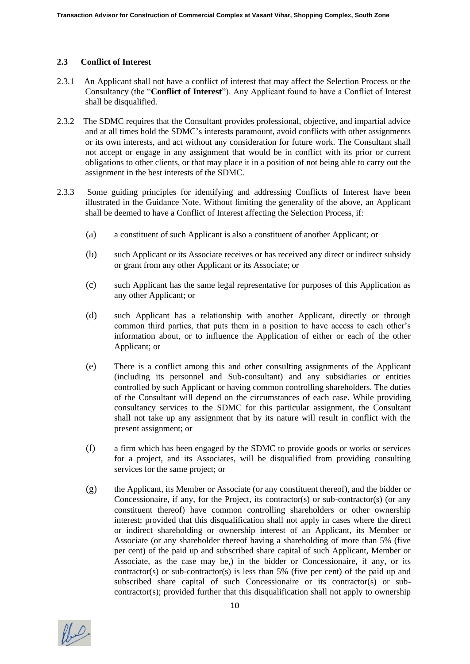### **2.3 Conflict of Interest**

- 2.3.1 An Applicant shall not have a conflict of interest that may affect the Selection Process or the Consultancy (the "**Conflict of Interest**"). Any Applicant found to have a Conflict of Interest shall be disqualified.
- 2.3.2 The SDMC requires that the Consultant provides professional, objective, and impartial advice and at all times hold the SDMC's interests paramount, avoid conflicts with other assignments or its own interests, and act without any consideration for future work. The Consultant shall not accept or engage in any assignment that would be in conflict with its prior or current obligations to other clients, or that may place it in a position of not being able to carry out the assignment in the best interests of the SDMC.
- 2.3.3 Some guiding principles for identifying and addressing Conflicts of Interest have been illustrated in the Guidance Note. Without limiting the generality of the above, an Applicant shall be deemed to have a Conflict of Interest affecting the Selection Process, if:
	- (a) a constituent of such Applicant is also a constituent of another Applicant; or
	- (b) such Applicant or its Associate receives or has received any direct or indirect subsidy or grant from any other Applicant or its Associate; or
	- (c) such Applicant has the same legal representative for purposes of this Application as any other Applicant; or
	- (d) such Applicant has a relationship with another Applicant, directly or through common third parties, that puts them in a position to have access to each other's information about, or to influence the Application of either or each of the other Applicant; or
	- (e) There is a conflict among this and other consulting assignments of the Applicant (including its personnel and Sub-consultant) and any subsidiaries or entities controlled by such Applicant or having common controlling shareholders. The duties of the Consultant will depend on the circumstances of each case. While providing consultancy services to the SDMC for this particular assignment, the Consultant shall not take up any assignment that by its nature will result in conflict with the present assignment; or
	- (f) a firm which has been engaged by the SDMC to provide goods or works or services for a project, and its Associates, will be disqualified from providing consulting services for the same project; or
	- (g) the Applicant, its Member or Associate (or any constituent thereof), and the bidder or Concessionaire, if any, for the Project, its contractor(s) or sub-contractor(s) (or any constituent thereof) have common controlling shareholders or other ownership interest; provided that this disqualification shall not apply in cases where the direct or indirect shareholding or ownership interest of an Applicant, its Member or Associate (or any shareholder thereof having a shareholding of more than 5% (five per cent) of the paid up and subscribed share capital of such Applicant, Member or Associate, as the case may be,) in the bidder or Concessionaire, if any, or its contractor(s) or sub-contractor(s) is less than 5% (five per cent) of the paid up and subscribed share capital of such Concessionaire or its contractor(s) or subcontractor(s); provided further that this disqualification shall not apply to ownership

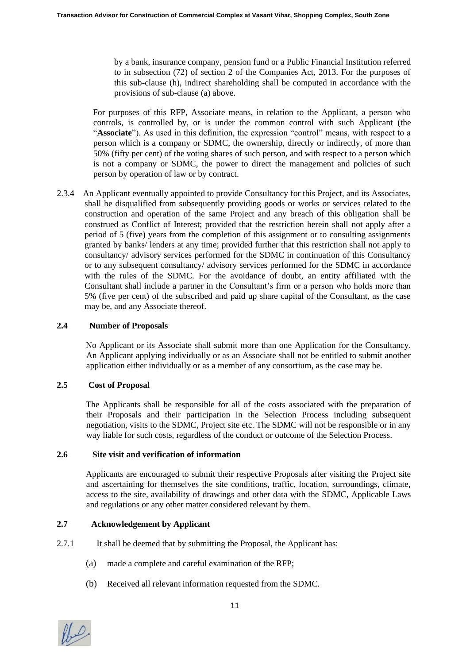by a bank, insurance company, pension fund or a Public Financial Institution referred to in subsection (72) of section 2 of the Companies Act, 2013. For the purposes of this sub-clause (h), indirect shareholding shall be computed in accordance with the provisions of sub-clause (a) above.

For purposes of this RFP, Associate means, in relation to the Applicant, a person who controls, is controlled by, or is under the common control with such Applicant (the "**Associate**"). As used in this definition, the expression "control" means, with respect to a person which is a company or SDMC, the ownership, directly or indirectly, of more than 50% (fifty per cent) of the voting shares of such person, and with respect to a person which is not a company or SDMC, the power to direct the management and policies of such person by operation of law or by contract.

2.3.4 An Applicant eventually appointed to provide Consultancy for this Project, and its Associates, shall be disqualified from subsequently providing goods or works or services related to the construction and operation of the same Project and any breach of this obligation shall be construed as Conflict of Interest; provided that the restriction herein shall not apply after a period of 5 (five) years from the completion of this assignment or to consulting assignments granted by banks/ lenders at any time; provided further that this restriction shall not apply to consultancy/ advisory services performed for the SDMC in continuation of this Consultancy or to any subsequent consultancy/ advisory services performed for the SDMC in accordance with the rules of the SDMC. For the avoidance of doubt, an entity affiliated with the Consultant shall include a partner in the Consultant's firm or a person who holds more than 5% (five per cent) of the subscribed and paid up share capital of the Consultant, as the case may be, and any Associate thereof.

#### **2.4 Number of Proposals**

No Applicant or its Associate shall submit more than one Application for the Consultancy. An Applicant applying individually or as an Associate shall not be entitled to submit another application either individually or as a member of any consortium, as the case may be.

#### **2.5 Cost of Proposal**

The Applicants shall be responsible for all of the costs associated with the preparation of their Proposals and their participation in the Selection Process including subsequent negotiation, visits to the SDMC, Project site etc. The SDMC will not be responsible or in any way liable for such costs, regardless of the conduct or outcome of the Selection Process.

#### **2.6 Site visit and verification of information**

Applicants are encouraged to submit their respective Proposals after visiting the Project site and ascertaining for themselves the site conditions, traffic, location, surroundings, climate, access to the site, availability of drawings and other data with the SDMC, Applicable Laws and regulations or any other matter considered relevant by them.

#### **2.7 Acknowledgement by Applicant**

- 2.7.1 It shall be deemed that by submitting the Proposal, the Applicant has:
	- (a) made a complete and careful examination of the RFP;
	- (b) Received all relevant information requested from the SDMC.

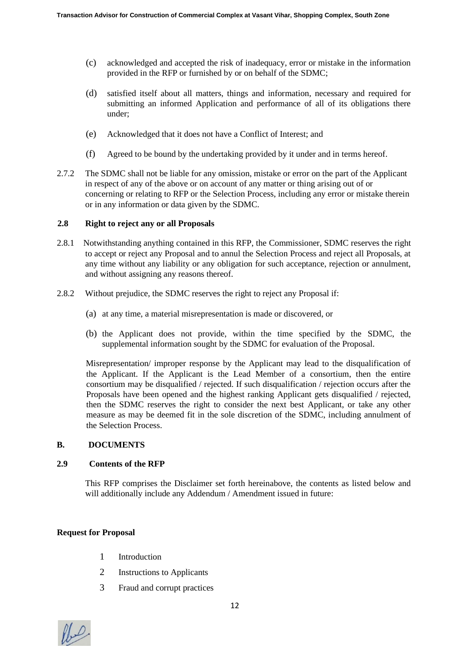- (c) acknowledged and accepted the risk of inadequacy, error or mistake in the information provided in the RFP or furnished by or on behalf of the SDMC;
- (d) satisfied itself about all matters, things and information, necessary and required for submitting an informed Application and performance of all of its obligations there under;
- (e) Acknowledged that it does not have a Conflict of Interest; and
- (f) Agreed to be bound by the undertaking provided by it under and in terms hereof.
- 2.7.2 The SDMC shall not be liable for any omission, mistake or error on the part of the Applicant in respect of any of the above or on account of any matter or thing arising out of or concerning or relating to RFP or the Selection Process, including any error or mistake therein or in any information or data given by the SDMC.

#### **2.8 Right to reject any or all Proposals**

- 2.8.1 Notwithstanding anything contained in this RFP, the Commissioner, SDMC reserves the right to accept or reject any Proposal and to annul the Selection Process and reject all Proposals, at any time without any liability or any obligation for such acceptance, rejection or annulment, and without assigning any reasons thereof.
- 2.8.2 Without prejudice, the SDMC reserves the right to reject any Proposal if:
	- (a) at any time, a material misrepresentation is made or discovered, or
	- (b) the Applicant does not provide, within the time specified by the SDMC, the supplemental information sought by the SDMC for evaluation of the Proposal.

Misrepresentation/ improper response by the Applicant may lead to the disqualification of the Applicant. If the Applicant is the Lead Member of a consortium, then the entire consortium may be disqualified / rejected. If such disqualification / rejection occurs after the Proposals have been opened and the highest ranking Applicant gets disqualified / rejected, then the SDMC reserves the right to consider the next best Applicant, or take any other measure as may be deemed fit in the sole discretion of the SDMC, including annulment of the Selection Process.

#### **B. DOCUMENTS**

#### **2.9 Contents of the RFP**

 This RFP comprises the Disclaimer set forth hereinabove, the contents as listed below and will additionally include any Addendum / Amendment issued in future:

#### **Request for Proposal**

- 1 Introduction
- 2 Instructions to Applicants
- 3 Fraud and corrupt practices

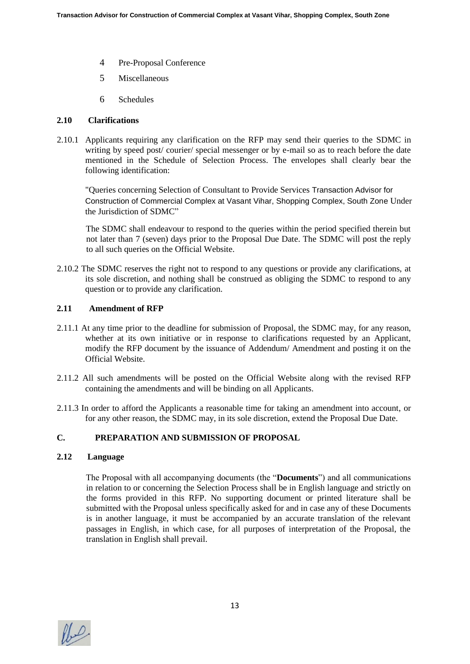- 4 Pre-Proposal Conference
- 5 Miscellaneous
- 6 Schedules

#### **2.10 Clarifications**

2.10.1 Applicants requiring any clarification on the RFP may send their queries to the SDMC in writing by speed post/ courier/ special messenger or by e-mail so as to reach before the date mentioned in the Schedule of Selection Process. The envelopes shall clearly bear the following identification:

"Queries concerning Selection of Consultant to Provide Services Transaction Advisor for Construction of Commercial Complex at Vasant Vihar, Shopping Complex, South Zone Under the Jurisdiction of SDMC"

The SDMC shall endeavour to respond to the queries within the period specified therein but not later than 7 (seven) days prior to the Proposal Due Date. The SDMC will post the reply to all such queries on the Official Website.

2.10.2 The SDMC reserves the right not to respond to any questions or provide any clarifications, at its sole discretion, and nothing shall be construed as obliging the SDMC to respond to any question or to provide any clarification.

#### **2.11 Amendment of RFP**

- 2.11.1 At any time prior to the deadline for submission of Proposal, the SDMC may, for any reason, whether at its own initiative or in response to clarifications requested by an Applicant, modify the RFP document by the issuance of Addendum/ Amendment and posting it on the Official Website.
- 2.11.2 All such amendments will be posted on the Official Website along with the revised RFP containing the amendments and will be binding on all Applicants.
- 2.11.3 In order to afford the Applicants a reasonable time for taking an amendment into account, or for any other reason, the SDMC may, in its sole discretion, extend the Proposal Due Date.

# **C. PREPARATION AND SUBMISSION OF PROPOSAL**

#### **2.12 Language**

The Proposal with all accompanying documents (the "**Documents**") and all communications in relation to or concerning the Selection Process shall be in English language and strictly on the forms provided in this RFP. No supporting document or printed literature shall be submitted with the Proposal unless specifically asked for and in case any of these Documents is in another language, it must be accompanied by an accurate translation of the relevant passages in English, in which case, for all purposes of interpretation of the Proposal, the translation in English shall prevail.

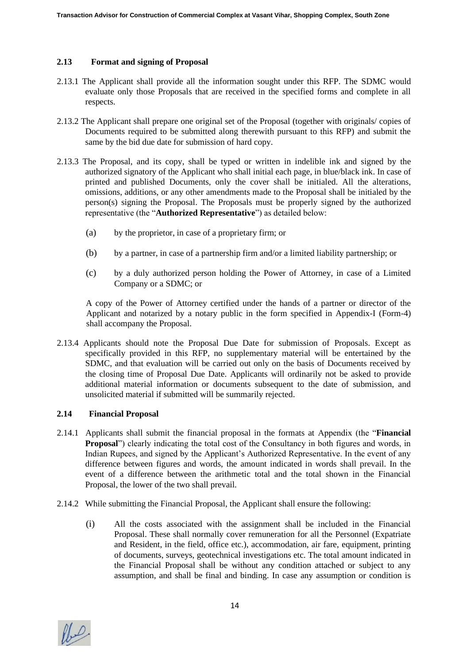#### **2.13 Format and signing of Proposal**

- 2.13.1 The Applicant shall provide all the information sought under this RFP. The SDMC would evaluate only those Proposals that are received in the specified forms and complete in all respects.
- 2.13.2 The Applicant shall prepare one original set of the Proposal (together with originals/ copies of Documents required to be submitted along therewith pursuant to this RFP) and submit the same by the bid due date for submission of hard copy.
- 2.13.3 The Proposal, and its copy, shall be typed or written in indelible ink and signed by the authorized signatory of the Applicant who shall initial each page, in blue/black ink. In case of printed and published Documents, only the cover shall be initialed. All the alterations, omissions, additions, or any other amendments made to the Proposal shall be initialed by the person(s) signing the Proposal. The Proposals must be properly signed by the authorized representative (the "**Authorized Representative**") as detailed below:
	- (a) by the proprietor, in case of a proprietary firm; or
	- (b) by a partner, in case of a partnership firm and/or a limited liability partnership; or
	- (c) by a duly authorized person holding the Power of Attorney, in case of a Limited Company or a SDMC; or

A copy of the Power of Attorney certified under the hands of a partner or director of the Applicant and notarized by a notary public in the form specified in Appendix-I (Form-4) shall accompany the Proposal.

2.13.4 Applicants should note the Proposal Due Date for submission of Proposals. Except as specifically provided in this RFP, no supplementary material will be entertained by the SDMC, and that evaluation will be carried out only on the basis of Documents received by the closing time of Proposal Due Date. Applicants will ordinarily not be asked to provide additional material information or documents subsequent to the date of submission, and unsolicited material if submitted will be summarily rejected.

#### **2.14 Financial Proposal**

- 2.14.1 Applicants shall submit the financial proposal in the formats at Appendix (the "**Financial Proposal**") clearly indicating the total cost of the Consultancy in both figures and words, in Indian Rupees, and signed by the Applicant's Authorized Representative. In the event of any difference between figures and words, the amount indicated in words shall prevail. In the event of a difference between the arithmetic total and the total shown in the Financial Proposal, the lower of the two shall prevail.
- 2.14.2 While submitting the Financial Proposal, the Applicant shall ensure the following:
	- (i) All the costs associated with the assignment shall be included in the Financial Proposal. These shall normally cover remuneration for all the Personnel (Expatriate and Resident, in the field, office etc.), accommodation, air fare, equipment, printing of documents, surveys, geotechnical investigations etc. The total amount indicated in the Financial Proposal shall be without any condition attached or subject to any assumption, and shall be final and binding. In case any assumption or condition is

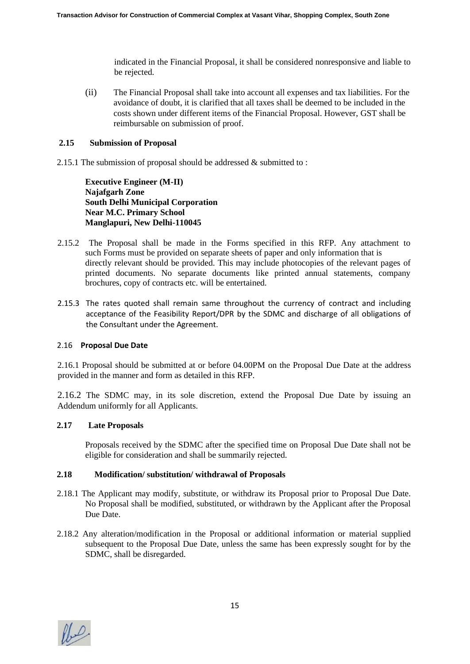indicated in the Financial Proposal, it shall be considered nonresponsive and liable to be rejected.

(ii) The Financial Proposal shall take into account all expenses and tax liabilities. For the avoidance of doubt, it is clarified that all taxes shall be deemed to be included in the costs shown under different items of the Financial Proposal. However, GST shall be reimbursable on submission of proof.

#### **2.15 Submission of Proposal**

2.15.1 The submission of proposal should be addressed & submitted to :

**Executive Engineer (M-II) Najafgarh Zone South Delhi Municipal Corporation Near M.C. Primary School Manglapuri, New Delhi-110045**

- 2.15.2 The Proposal shall be made in the Forms specified in this RFP. Any attachment to such Forms must be provided on separate sheets of paper and only information that is directly relevant should be provided. This may include photocopies of the relevant pages of printed documents. No separate documents like printed annual statements, company brochures, copy of contracts etc. will be entertained.
- 2.15.3 The rates quoted shall remain same throughout the currency of contract and including acceptance of the Feasibility Report/DPR by the SDMC and discharge of all obligations of the Consultant under the Agreement.

#### 2.16 **Proposal Due Date**

2.16.1 Proposal should be submitted at or before 04.00PM on the Proposal Due Date at the address provided in the manner and form as detailed in this RFP.

2.16.2 The SDMC may, in its sole discretion, extend the Proposal Due Date by issuing an Addendum uniformly for all Applicants.

#### **2.17 Late Proposals**

Proposals received by the SDMC after the specified time on Proposal Due Date shall not be eligible for consideration and shall be summarily rejected.

#### **2.18 Modification/ substitution/ withdrawal of Proposals**

- 2.18.1 The Applicant may modify, substitute, or withdraw its Proposal prior to Proposal Due Date. No Proposal shall be modified, substituted, or withdrawn by the Applicant after the Proposal Due Date.
- 2.18.2 Any alteration/modification in the Proposal or additional information or material supplied subsequent to the Proposal Due Date, unless the same has been expressly sought for by the SDMC, shall be disregarded.

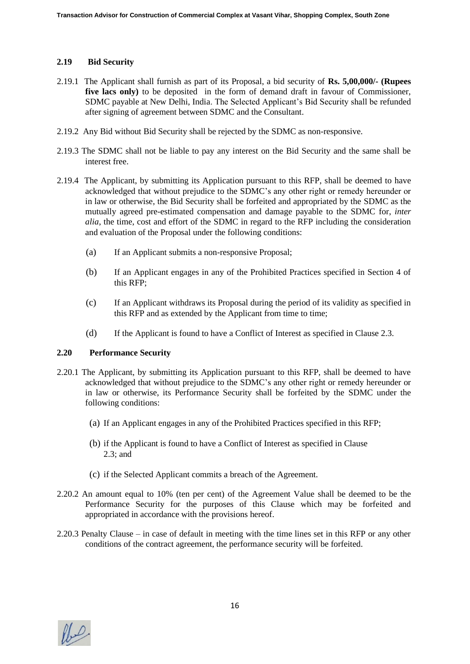### **2.19 Bid Security**

- 2.19.1 The Applicant shall furnish as part of its Proposal, a bid security of **Rs. 5,00,000/- (Rupees five lacs only)** to be deposited in the form of demand draft in favour of Commissioner, SDMC payable at New Delhi, India. The Selected Applicant's Bid Security shall be refunded after signing of agreement between SDMC and the Consultant.
- 2.19.2 Any Bid without Bid Security shall be rejected by the SDMC as non-responsive.
- 2.19.3 The SDMC shall not be liable to pay any interest on the Bid Security and the same shall be interest free.
- 2.19.4 The Applicant, by submitting its Application pursuant to this RFP, shall be deemed to have acknowledged that without prejudice to the SDMC's any other right or remedy hereunder or in law or otherwise, the Bid Security shall be forfeited and appropriated by the SDMC as the mutually agreed pre-estimated compensation and damage payable to the SDMC for, *inter alia*, the time, cost and effort of the SDMC in regard to the RFP including the consideration and evaluation of the Proposal under the following conditions:
	- (a) If an Applicant submits a non-responsive Proposal;
	- (b) If an Applicant engages in any of the Prohibited Practices specified in Section 4 of this RFP;
	- (c) If an Applicant withdraws its Proposal during the period of its validity as specified in this RFP and as extended by the Applicant from time to time;
	- (d) If the Applicant is found to have a Conflict of Interest as specified in Clause 2.3.

#### **2.20 Performance Security**

- 2.20.1 The Applicant, by submitting its Application pursuant to this RFP, shall be deemed to have acknowledged that without prejudice to the SDMC's any other right or remedy hereunder or in law or otherwise, its Performance Security shall be forfeited by the SDMC under the following conditions:
	- (a) If an Applicant engages in any of the Prohibited Practices specified in this RFP;
	- (b) if the Applicant is found to have a Conflict of Interest as specified in Clause 2.3; and
	- (c) if the Selected Applicant commits a breach of the Agreement.
- 2.20.2 An amount equal to 10% (ten per cent) of the Agreement Value shall be deemed to be the Performance Security for the purposes of this Clause which may be forfeited and appropriated in accordance with the provisions hereof.
- 2.20.3 Penalty Clause in case of default in meeting with the time lines set in this RFP or any other conditions of the contract agreement, the performance security will be forfeited.

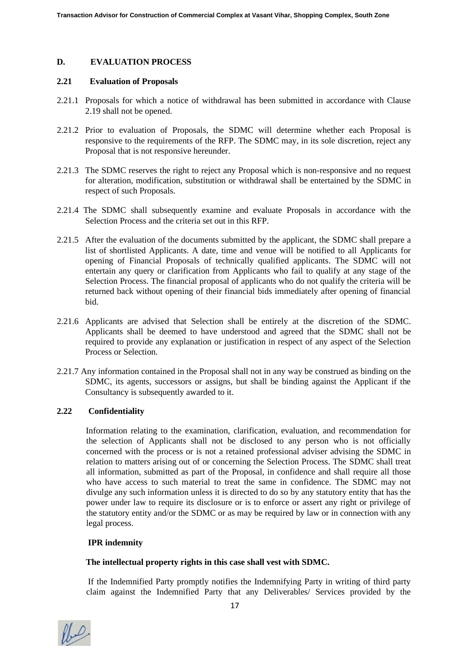#### **D. EVALUATION PROCESS**

#### **2.21 Evaluation of Proposals**

- 2.21.1 Proposals for which a notice of withdrawal has been submitted in accordance with Clause 2.19 shall not be opened.
- 2.21.2 Prior to evaluation of Proposals, the SDMC will determine whether each Proposal is responsive to the requirements of the RFP. The SDMC may, in its sole discretion, reject any Proposal that is not responsive hereunder.
- 2.21.3 The SDMC reserves the right to reject any Proposal which is non-responsive and no request for alteration, modification, substitution or withdrawal shall be entertained by the SDMC in respect of such Proposals.
- 2.21.4 The SDMC shall subsequently examine and evaluate Proposals in accordance with the Selection Process and the criteria set out in this RFP.
- 2.21.5 After the evaluation of the documents submitted by the applicant, the SDMC shall prepare a list of shortlisted Applicants. A date, time and venue will be notified to all Applicants for opening of Financial Proposals of technically qualified applicants. The SDMC will not entertain any query or clarification from Applicants who fail to qualify at any stage of the Selection Process. The financial proposal of applicants who do not qualify the criteria will be returned back without opening of their financial bids immediately after opening of financial bid.
- 2.21.6 Applicants are advised that Selection shall be entirely at the discretion of the SDMC. Applicants shall be deemed to have understood and agreed that the SDMC shall not be required to provide any explanation or justification in respect of any aspect of the Selection Process or Selection.
- 2.21.7 Any information contained in the Proposal shall not in any way be construed as binding on the SDMC, its agents, successors or assigns, but shall be binding against the Applicant if the Consultancy is subsequently awarded to it.

#### **2.22 Confidentiality**

Information relating to the examination, clarification, evaluation, and recommendation for the selection of Applicants shall not be disclosed to any person who is not officially concerned with the process or is not a retained professional adviser advising the SDMC in relation to matters arising out of or concerning the Selection Process. The SDMC shall treat all information, submitted as part of the Proposal, in confidence and shall require all those who have access to such material to treat the same in confidence. The SDMC may not divulge any such information unless it is directed to do so by any statutory entity that has the power under law to require its disclosure or is to enforce or assert any right or privilege of the statutory entity and/or the SDMC or as may be required by law or in connection with any legal process.

#### **IPR indemnity**

#### **The intellectual property rights in this case shall vest with SDMC.**

If the Indemnified Party promptly notifies the Indemnifying Party in writing of third party claim against the Indemnified Party that any Deliverables/ Services provided by the

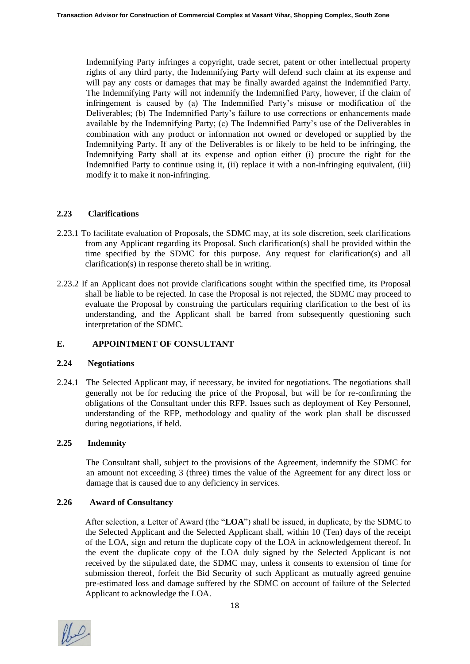Indemnifying Party infringes a copyright, trade secret, patent or other intellectual property rights of any third party, the Indemnifying Party will defend such claim at its expense and will pay any costs or damages that may be finally awarded against the Indemnified Party. The Indemnifying Party will not indemnify the Indemnified Party, however, if the claim of infringement is caused by (a) The Indemnified Party's misuse or modification of the Deliverables; (b) The Indemnified Party's failure to use corrections or enhancements made available by the Indemnifying Party; (c) The Indemnified Party's use of the Deliverables in combination with any product or information not owned or developed or supplied by the Indemnifying Party. If any of the Deliverables is or likely to be held to be infringing, the Indemnifying Party shall at its expense and option either (i) procure the right for the Indemnified Party to continue using it, (ii) replace it with a non-infringing equivalent, (iii) modify it to make it non-infringing.

# **2.23 Clarifications**

- 2.23.1 To facilitate evaluation of Proposals, the SDMC may, at its sole discretion, seek clarifications from any Applicant regarding its Proposal. Such clarification(s) shall be provided within the time specified by the SDMC for this purpose. Any request for clarification(s) and all clarification(s) in response thereto shall be in writing.
- 2.23.2 If an Applicant does not provide clarifications sought within the specified time, its Proposal shall be liable to be rejected. In case the Proposal is not rejected, the SDMC may proceed to evaluate the Proposal by construing the particulars requiring clarification to the best of its understanding, and the Applicant shall be barred from subsequently questioning such interpretation of the SDMC.

# **E. APPOINTMENT OF CONSULTANT**

#### **2.24 Negotiations**

2.24.1 The Selected Applicant may, if necessary, be invited for negotiations. The negotiations shall generally not be for reducing the price of the Proposal, but will be for re-confirming the obligations of the Consultant under this RFP. Issues such as deployment of Key Personnel, understanding of the RFP, methodology and quality of the work plan shall be discussed during negotiations, if held.

#### **2.25 Indemnity**

The Consultant shall, subject to the provisions of the Agreement, indemnify the SDMC for an amount not exceeding 3 (three) times the value of the Agreement for any direct loss or damage that is caused due to any deficiency in services.

#### **2.26 Award of Consultancy**

 After selection, a Letter of Award (the "**LOA**") shall be issued, in duplicate, by the SDMC to the Selected Applicant and the Selected Applicant shall, within 10 (Ten) days of the receipt of the LOA, sign and return the duplicate copy of the LOA in acknowledgement thereof. In the event the duplicate copy of the LOA duly signed by the Selected Applicant is not received by the stipulated date, the SDMC may, unless it consents to extension of time for submission thereof, forfeit the Bid Security of such Applicant as mutually agreed genuine pre-estimated loss and damage suffered by the SDMC on account of failure of the Selected Applicant to acknowledge the LOA.

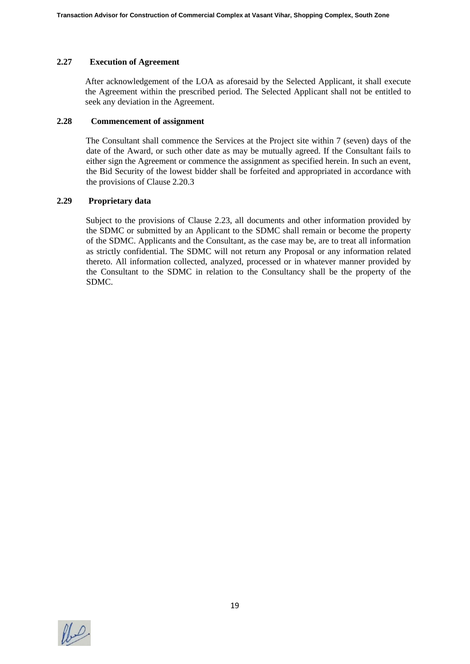#### **2.27 Execution of Agreement**

After acknowledgement of the LOA as aforesaid by the Selected Applicant, it shall execute the Agreement within the prescribed period. The Selected Applicant shall not be entitled to seek any deviation in the Agreement.

# **2.28 Commencement of assignment**

The Consultant shall commence the Services at the Project site within 7 (seven) days of the date of the Award, or such other date as may be mutually agreed. If the Consultant fails to either sign the Agreement or commence the assignment as specified herein. In such an event, the Bid Security of the lowest bidder shall be forfeited and appropriated in accordance with the provisions of Clause 2.20.3

#### **2.29 Proprietary data**

Subject to the provisions of Clause 2.23, all documents and other information provided by the SDMC or submitted by an Applicant to the SDMC shall remain or become the property of the SDMC. Applicants and the Consultant, as the case may be, are to treat all information as strictly confidential. The SDMC will not return any Proposal or any information related thereto. All information collected, analyzed, processed or in whatever manner provided by the Consultant to the SDMC in relation to the Consultancy shall be the property of the SDMC.

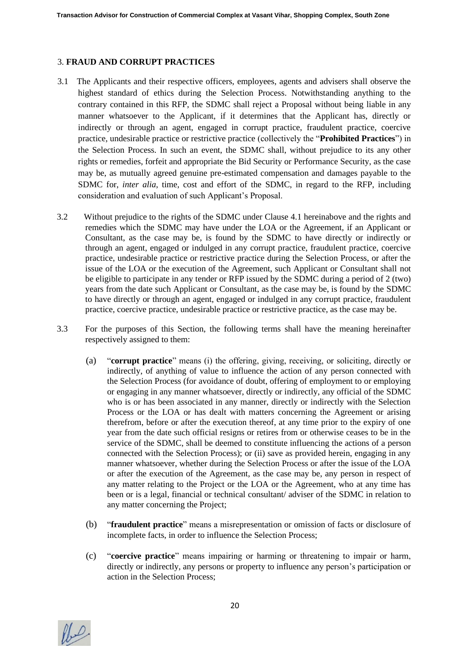# 3. **FRAUD AND CORRUPT PRACTICES**

- 3.1 The Applicants and their respective officers, employees, agents and advisers shall observe the highest standard of ethics during the Selection Process. Notwithstanding anything to the contrary contained in this RFP, the SDMC shall reject a Proposal without being liable in any manner whatsoever to the Applicant, if it determines that the Applicant has, directly or indirectly or through an agent, engaged in corrupt practice, fraudulent practice, coercive practice, undesirable practice or restrictive practice (collectively the "**Prohibited Practices**") in the Selection Process. In such an event, the SDMC shall, without prejudice to its any other rights or remedies, forfeit and appropriate the Bid Security or Performance Security, as the case may be, as mutually agreed genuine pre-estimated compensation and damages payable to the SDMC for, *inter alia*, time, cost and effort of the SDMC, in regard to the RFP, including consideration and evaluation of such Applicant's Proposal.
- 3.2 Without prejudice to the rights of the SDMC under Clause 4.1 hereinabove and the rights and remedies which the SDMC may have under the LOA or the Agreement, if an Applicant or Consultant, as the case may be, is found by the SDMC to have directly or indirectly or through an agent, engaged or indulged in any corrupt practice, fraudulent practice, coercive practice, undesirable practice or restrictive practice during the Selection Process, or after the issue of the LOA or the execution of the Agreement, such Applicant or Consultant shall not be eligible to participate in any tender or RFP issued by the SDMC during a period of 2 (two) years from the date such Applicant or Consultant, as the case may be, is found by the SDMC to have directly or through an agent, engaged or indulged in any corrupt practice, fraudulent practice, coercive practice, undesirable practice or restrictive practice, as the case may be.
- 3.3 For the purposes of this Section, the following terms shall have the meaning hereinafter respectively assigned to them:
	- (a) "**corrupt practice**" means (i) the offering, giving, receiving, or soliciting, directly or indirectly, of anything of value to influence the action of any person connected with the Selection Process (for avoidance of doubt, offering of employment to or employing or engaging in any manner whatsoever, directly or indirectly, any official of the SDMC who is or has been associated in any manner, directly or indirectly with the Selection Process or the LOA or has dealt with matters concerning the Agreement or arising therefrom, before or after the execution thereof, at any time prior to the expiry of one year from the date such official resigns or retires from or otherwise ceases to be in the service of the SDMC, shall be deemed to constitute influencing the actions of a person connected with the Selection Process); or (ii) save as provided herein, engaging in any manner whatsoever, whether during the Selection Process or after the issue of the LOA or after the execution of the Agreement, as the case may be, any person in respect of any matter relating to the Project or the LOA or the Agreement, who at any time has been or is a legal, financial or technical consultant/ adviser of the SDMC in relation to any matter concerning the Project;
	- (b) "**fraudulent practice**" means a misrepresentation or omission of facts or disclosure of incomplete facts, in order to influence the Selection Process;
	- (c) "**coercive practice**" means impairing or harming or threatening to impair or harm, directly or indirectly, any persons or property to influence any person's participation or action in the Selection Process;

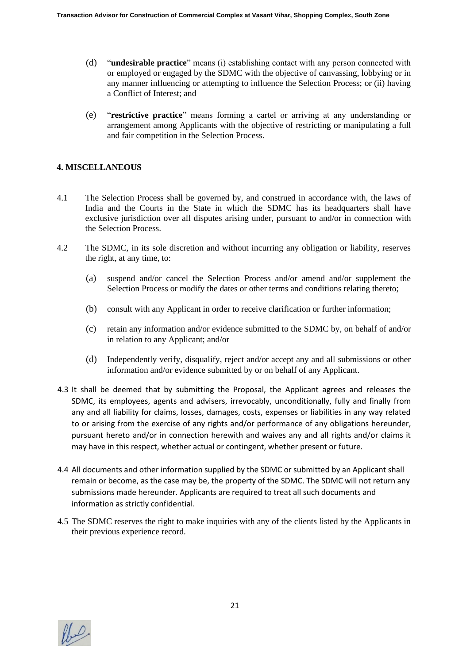- (d) "**undesirable practice**" means (i) establishing contact with any person connected with or employed or engaged by the SDMC with the objective of canvassing, lobbying or in any manner influencing or attempting to influence the Selection Process; or (ii) having a Conflict of Interest; and
- (e) "**restrictive practice**" means forming a cartel or arriving at any understanding or arrangement among Applicants with the objective of restricting or manipulating a full and fair competition in the Selection Process.

# **4. MISCELLANEOUS**

- 4.1 The Selection Process shall be governed by, and construed in accordance with, the laws of India and the Courts in the State in which the SDMC has its headquarters shall have exclusive jurisdiction over all disputes arising under, pursuant to and/or in connection with the Selection Process.
- 4.2 The SDMC, in its sole discretion and without incurring any obligation or liability, reserves the right, at any time, to:
	- (a) suspend and/or cancel the Selection Process and/or amend and/or supplement the Selection Process or modify the dates or other terms and conditions relating thereto;
	- (b) consult with any Applicant in order to receive clarification or further information;
	- (c) retain any information and/or evidence submitted to the SDMC by, on behalf of and/or in relation to any Applicant; and/or
	- (d) Independently verify, disqualify, reject and/or accept any and all submissions or other information and/or evidence submitted by or on behalf of any Applicant.
- 4.3 It shall be deemed that by submitting the Proposal, the Applicant agrees and releases the SDMC, its employees, agents and advisers, irrevocably, unconditionally, fully and finally from any and all liability for claims, losses, damages, costs, expenses or liabilities in any way related to or arising from the exercise of any rights and/or performance of any obligations hereunder, pursuant hereto and/or in connection herewith and waives any and all rights and/or claims it may have in this respect, whether actual or contingent, whether present or future.
- 4.4 All documents and other information supplied by the SDMC or submitted by an Applicant shall remain or become, as the case may be, the property of the SDMC. The SDMC will not return any submissions made hereunder. Applicants are required to treat all such documents and information as strictly confidential.
- 4.5 The SDMC reserves the right to make inquiries with any of the clients listed by the Applicants in their previous experience record.

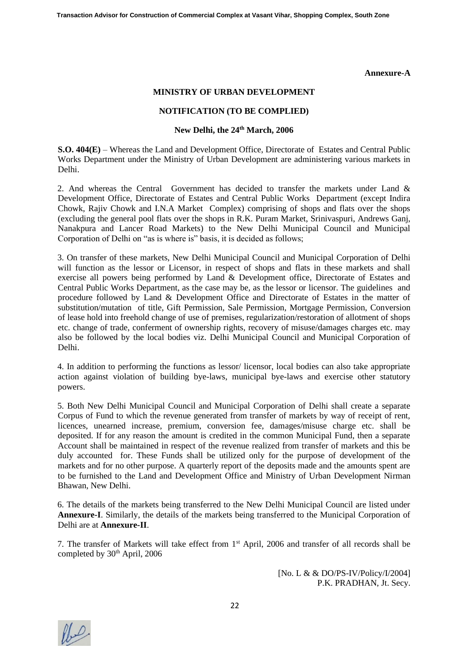#### **Annexure-A**

#### **MINISTRY OF URBAN DEVELOPMENT**

#### **NOTIFICATION (TO BE COMPLIED)**

#### **New Delhi, the 24th March, 2006**

**S.O. 404(E)** – Whereas the Land and Development Office, Directorate of Estates and Central Public Works Department under the Ministry of Urban Development are administering various markets in Delhi.

2. And whereas the Central Government has decided to transfer the markets under Land & Development Office, Directorate of Estates and Central Public Works Department (except Indira Chowk, Rajiv Chowk and I.N.A Market Complex) comprising of shops and flats over the shops (excluding the general pool flats over the shops in R.K. Puram Market, Srinivaspuri, Andrews Ganj, Nanakpura and Lancer Road Markets) to the New Delhi Municipal Council and Municipal Corporation of Delhi on "as is where is" basis, it is decided as follows;

3. On transfer of these markets, New Delhi Municipal Council and Municipal Corporation of Delhi will function as the lessor or Licensor, in respect of shops and flats in these markets and shall exercise all powers being performed by Land & Development office, Directorate of Estates and Central Public Works Department, as the case may be, as the lessor or licensor. The guidelines and procedure followed by Land & Development Office and Directorate of Estates in the matter of substitution/mutation of title, Gift Permission, Sale Permission, Mortgage Permission, Conversion of lease hold into freehold change of use of premises, regularization/restoration of allotment of shops etc. change of trade, conferment of ownership rights, recovery of misuse/damages charges etc. may also be followed by the local bodies viz. Delhi Municipal Council and Municipal Corporation of Delhi.

4. In addition to performing the functions as lessor/ licensor, local bodies can also take appropriate action against violation of building bye-laws, municipal bye-laws and exercise other statutory powers.

5. Both New Delhi Municipal Council and Municipal Corporation of Delhi shall create a separate Corpus of Fund to which the revenue generated from transfer of markets by way of receipt of rent, licences, unearned increase, premium, conversion fee, damages/misuse charge etc. shall be deposited. If for any reason the amount is credited in the common Municipal Fund, then a separate Account shall be maintained in respect of the revenue realized from transfer of markets and this be duly accounted for. These Funds shall be utilized only for the purpose of development of the markets and for no other purpose. A quarterly report of the deposits made and the amounts spent are to be furnished to the Land and Development Office and Ministry of Urban Development Nirman Bhawan, New Delhi.

6. The details of the markets being transferred to the New Delhi Municipal Council are listed under **Annexure-I**. Similarly, the details of the markets being transferred to the Municipal Corporation of Delhi are at **Annexure-II**.

7. The transfer of Markets will take effect from 1<sup>st</sup> April, 2006 and transfer of all records shall be completed by  $30<sup>th</sup>$  April, 2006

> [No. L & & DO/PS-IV/Policy/I/2004] P.K. PRADHAN, Jt. Secy.

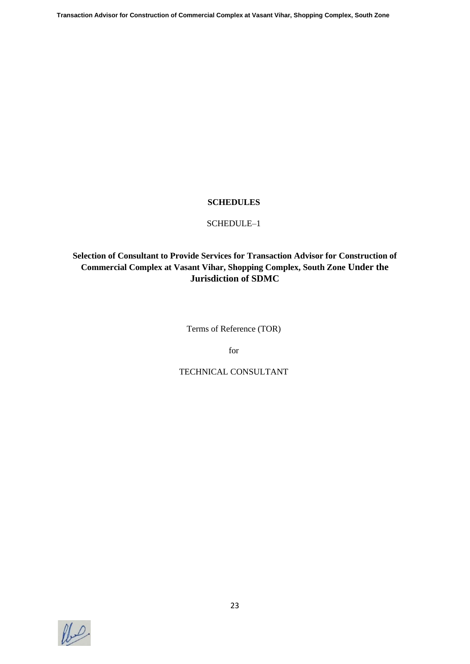#### **SCHEDULES**

#### SCHEDULE–1

# **Selection of Consultant to Provide Services for Transaction Advisor for Construction of Commercial Complex at Vasant Vihar, Shopping Complex, South Zone Under the Jurisdiction of SDMC**

Terms of Reference (TOR)

for

# TECHNICAL CONSULTANT

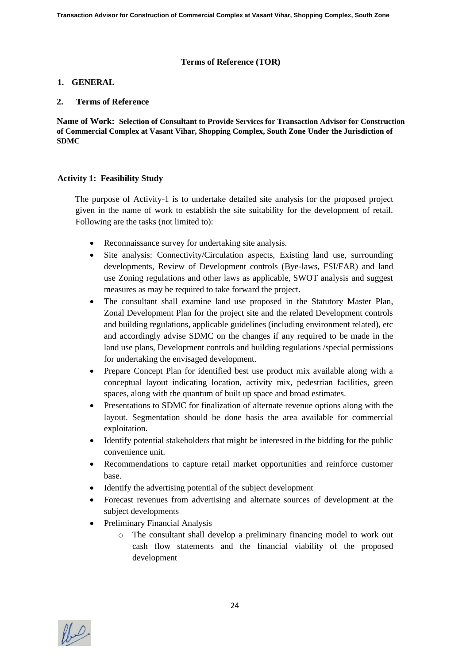#### **Terms of Reference (TOR)**

#### **1. GENERAL**

#### **2. Terms of Reference**

**Name of Work: Selection of Consultant to Provide Services for Transaction Advisor for Construction of Commercial Complex at Vasant Vihar, Shopping Complex, South Zone Under the Jurisdiction of SDMC**

#### **Activity 1: Feasibility Study**

The purpose of Activity-1 is to undertake detailed site analysis for the proposed project given in the name of work to establish the site suitability for the development of retail. Following are the tasks (not limited to):

- Reconnaissance survey for undertaking site analysis.
- Site analysis: Connectivity/Circulation aspects, Existing land use, surrounding developments, Review of Development controls (Bye-laws, FSI/FAR) and land use Zoning regulations and other laws as applicable, SWOT analysis and suggest measures as may be required to take forward the project.
- The consultant shall examine land use proposed in the Statutory Master Plan, Zonal Development Plan for the project site and the related Development controls and building regulations, applicable guidelines (including environment related), etc and accordingly advise SDMC on the changes if any required to be made in the land use plans, Development controls and building regulations /special permissions for undertaking the envisaged development.
- Prepare Concept Plan for identified best use product mix available along with a conceptual layout indicating location, activity mix, pedestrian facilities, green spaces, along with the quantum of built up space and broad estimates.
- Presentations to SDMC for finalization of alternate revenue options along with the layout. Segmentation should be done basis the area available for commercial exploitation.
- Identify potential stakeholders that might be interested in the bidding for the public convenience unit.
- Recommendations to capture retail market opportunities and reinforce customer base.
- Identify the advertising potential of the subject development
- Forecast revenues from advertising and alternate sources of development at the subject developments
- Preliminary Financial Analysis
	- o The consultant shall develop a preliminary financing model to work out cash flow statements and the financial viability of the proposed development

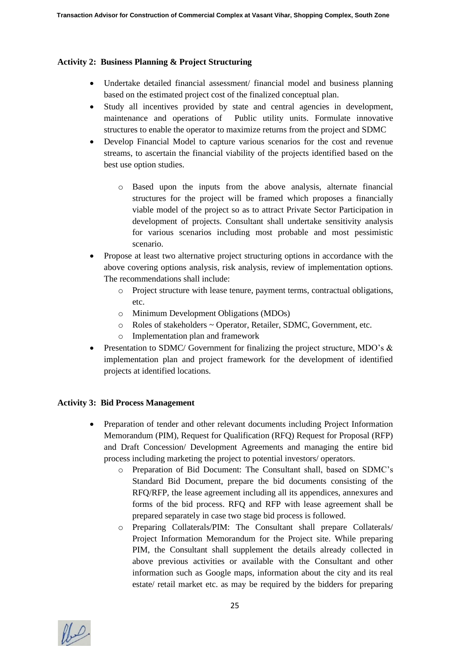### **Activity 2: Business Planning & Project Structuring**

- Undertake detailed financial assessment/ financial model and business planning based on the estimated project cost of the finalized conceptual plan.
- Study all incentives provided by state and central agencies in development, maintenance and operations of Public utility units. Formulate innovative structures to enable the operator to maximize returns from the project and SDMC
- Develop Financial Model to capture various scenarios for the cost and revenue streams, to ascertain the financial viability of the projects identified based on the best use option studies.
	- o Based upon the inputs from the above analysis, alternate financial structures for the project will be framed which proposes a financially viable model of the project so as to attract Private Sector Participation in development of projects. Consultant shall undertake sensitivity analysis for various scenarios including most probable and most pessimistic scenario.
- Propose at least two alternative project structuring options in accordance with the above covering options analysis, risk analysis, review of implementation options. The recommendations shall include:
	- o Project structure with lease tenure, payment terms, contractual obligations, etc.
	- o Minimum Development Obligations (MDOs)
	- o Roles of stakeholders ~ Operator, Retailer, SDMC, Government, etc.
	- o Implementation plan and framework
- Presentation to SDMC/ Government for finalizing the project structure, MDO's & implementation plan and project framework for the development of identified projects at identified locations.

#### **Activity 3: Bid Process Management**

- Preparation of tender and other relevant documents including Project Information Memorandum (PIM), Request for Qualification (RFQ) Request for Proposal (RFP) and Draft Concession/ Development Agreements and managing the entire bid process including marketing the project to potential investors/ operators.
	- o Preparation of Bid Document: The Consultant shall, based on SDMC's Standard Bid Document, prepare the bid documents consisting of the RFQ/RFP, the lease agreement including all its appendices, annexures and forms of the bid process. RFQ and RFP with lease agreement shall be prepared separately in case two stage bid process is followed.
	- o Preparing Collaterals/PIM: The Consultant shall prepare Collaterals/ Project Information Memorandum for the Project site. While preparing PIM, the Consultant shall supplement the details already collected in above previous activities or available with the Consultant and other information such as Google maps, information about the city and its real estate/ retail market etc. as may be required by the bidders for preparing

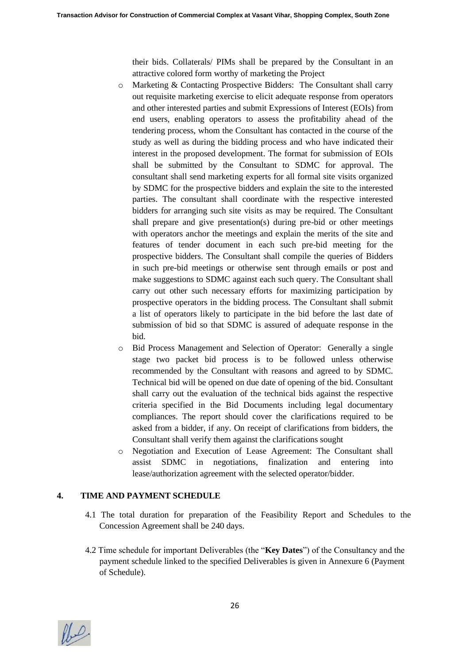their bids. Collaterals/ PIMs shall be prepared by the Consultant in an attractive colored form worthy of marketing the Project

- o Marketing & Contacting Prospective Bidders: The Consultant shall carry out requisite marketing exercise to elicit adequate response from operators and other interested parties and submit Expressions of Interest (EOIs) from end users, enabling operators to assess the profitability ahead of the tendering process, whom the Consultant has contacted in the course of the study as well as during the bidding process and who have indicated their interest in the proposed development. The format for submission of EOIs shall be submitted by the Consultant to SDMC for approval. The consultant shall send marketing experts for all formal site visits organized by SDMC for the prospective bidders and explain the site to the interested parties. The consultant shall coordinate with the respective interested bidders for arranging such site visits as may be required. The Consultant shall prepare and give presentation(s) during pre-bid or other meetings with operators anchor the meetings and explain the merits of the site and features of tender document in each such pre-bid meeting for the prospective bidders. The Consultant shall compile the queries of Bidders in such pre-bid meetings or otherwise sent through emails or post and make suggestions to SDMC against each such query. The Consultant shall carry out other such necessary efforts for maximizing participation by prospective operators in the bidding process. The Consultant shall submit a list of operators likely to participate in the bid before the last date of submission of bid so that SDMC is assured of adequate response in the bid.
- o Bid Process Management and Selection of Operator: Generally a single stage two packet bid process is to be followed unless otherwise recommended by the Consultant with reasons and agreed to by SDMC. Technical bid will be opened on due date of opening of the bid. Consultant shall carry out the evaluation of the technical bids against the respective criteria specified in the Bid Documents including legal documentary compliances. The report should cover the clarifications required to be asked from a bidder, if any. On receipt of clarifications from bidders, the Consultant shall verify them against the clarifications sought
- o Negotiation and Execution of Lease Agreement: The Consultant shall assist SDMC in negotiations, finalization and entering into lease/authorization agreement with the selected operator/bidder.

# **4. TIME AND PAYMENT SCHEDULE**

- 4.1 The total duration for preparation of the Feasibility Report and Schedules to the Concession Agreement shall be 240 days.
- 4.2 Time schedule for important Deliverables (the "**Key Dates**") of the Consultancy and the payment schedule linked to the specified Deliverables is given in Annexure 6 (Payment of Schedule).

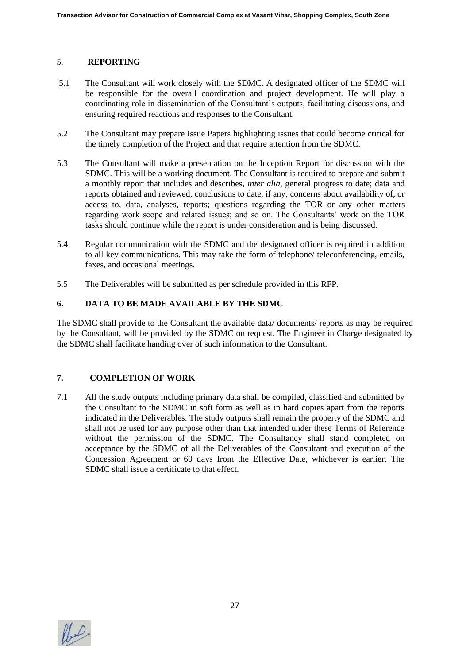#### 5. **REPORTING**

- 5.1 The Consultant will work closely with the SDMC. A designated officer of the SDMC will be responsible for the overall coordination and project development. He will play a coordinating role in dissemination of the Consultant's outputs, facilitating discussions, and ensuring required reactions and responses to the Consultant.
- 5.2 The Consultant may prepare Issue Papers highlighting issues that could become critical for the timely completion of the Project and that require attention from the SDMC.
- 5.3 The Consultant will make a presentation on the Inception Report for discussion with the SDMC. This will be a working document. The Consultant is required to prepare and submit a monthly report that includes and describes, *inter alia*, general progress to date; data and reports obtained and reviewed, conclusions to date, if any; concerns about availability of, or access to, data, analyses, reports; questions regarding the TOR or any other matters regarding work scope and related issues; and so on. The Consultants' work on the TOR tasks should continue while the report is under consideration and is being discussed.
- 5.4 Regular communication with the SDMC and the designated officer is required in addition to all key communications. This may take the form of telephone/ teleconferencing, emails, faxes, and occasional meetings.
- 5.5 The Deliverables will be submitted as per schedule provided in this RFP.

# **6. DATA TO BE MADE AVAILABLE BY THE SDMC**

The SDMC shall provide to the Consultant the available data/ documents/ reports as may be required by the Consultant, will be provided by the SDMC on request. The Engineer in Charge designated by the SDMC shall facilitate handing over of such information to the Consultant.

# **7. COMPLETION OF WORK**

7.1 All the study outputs including primary data shall be compiled, classified and submitted by the Consultant to the SDMC in soft form as well as in hard copies apart from the reports indicated in the Deliverables. The study outputs shall remain the property of the SDMC and shall not be used for any purpose other than that intended under these Terms of Reference without the permission of the SDMC. The Consultancy shall stand completed on acceptance by the SDMC of all the Deliverables of the Consultant and execution of the Concession Agreement or 60 days from the Effective Date, whichever is earlier. The SDMC shall issue a certificate to that effect.

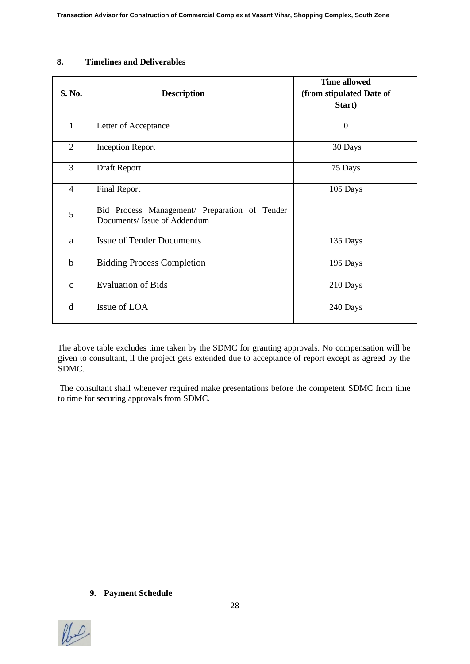#### **8. Timelines and Deliverables**

| S. No.         | <b>Description</b>                                                           | <b>Time allowed</b><br>(from stipulated Date of<br>Start) |
|----------------|------------------------------------------------------------------------------|-----------------------------------------------------------|
| $\mathbf{1}$   | Letter of Acceptance                                                         | $\overline{0}$                                            |
| $\overline{2}$ | <b>Inception Report</b>                                                      | 30 Days                                                   |
| 3              | Draft Report                                                                 | 75 Days                                                   |
| $\overline{4}$ | <b>Final Report</b>                                                          | 105 Days                                                  |
| 5              | Bid Process Management/ Preparation of Tender<br>Documents/Issue of Addendum |                                                           |
| a              | <b>Issue of Tender Documents</b>                                             | 135 Days                                                  |
| $\mathbf b$    | <b>Bidding Process Completion</b>                                            | 195 Days                                                  |
| $\mathbf{C}$   | <b>Evaluation of Bids</b>                                                    | 210 Days                                                  |
| d              | Issue of LOA                                                                 | 240 Days                                                  |

The above table excludes time taken by the SDMC for granting approvals. No compensation will be given to consultant, if the project gets extended due to acceptance of report except as agreed by the SDMC.

The consultant shall whenever required make presentations before the competent SDMC from time to time for securing approvals from SDMC.

#### **9. Payment Schedule**

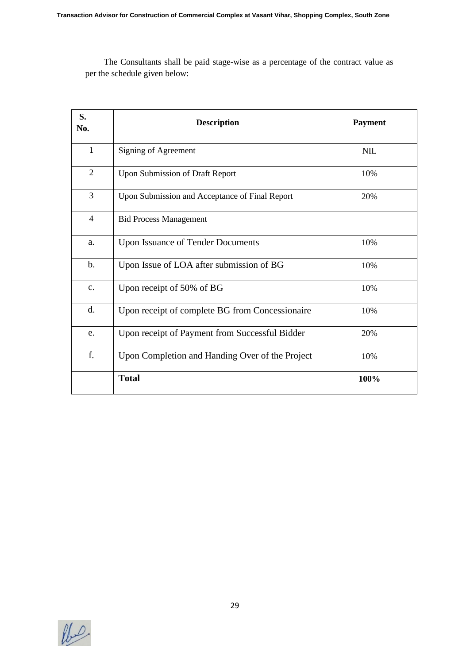The Consultants shall be paid stage-wise as a percentage of the contract value as per the schedule given below:

| S.<br>No.      | <b>Description</b>                              | <b>Payment</b> |
|----------------|-------------------------------------------------|----------------|
| $\mathbf{1}$   | Signing of Agreement                            | <b>NIL</b>     |
| 2              | Upon Submission of Draft Report                 | 10%            |
| $\overline{3}$ | Upon Submission and Acceptance of Final Report  | 20%            |
| $\overline{4}$ | <b>Bid Process Management</b>                   |                |
| a.             | <b>Upon Issuance of Tender Documents</b>        | 10%            |
| $\mathbf b$ .  | Upon Issue of LOA after submission of BG        | 10%            |
| $C_{\bullet}$  | Upon receipt of 50% of BG                       | 10%            |
| d.             | Upon receipt of complete BG from Concessionaire | 10%            |
| e.             | Upon receipt of Payment from Successful Bidder  | 20%            |
| f.             | Upon Completion and Handing Over of the Project | 10%            |
|                | <b>Total</b>                                    | 100%           |

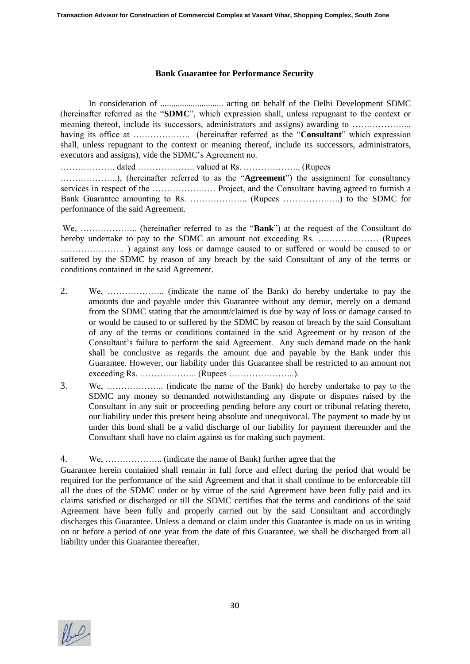#### **Bank Guarantee for Performance Security**

In consideration of ............................. acting on behalf of the Delhi Development SDMC (hereinafter referred as the "**SDMC**", which expression shall, unless repugnant to the context or meaning thereof, include its successors, administrators and assigns) awarding to ……………… having its office at ……………….. (hereinafter referred as the "**Consultant**" which expression shall, unless repugnant to the context or meaning thereof, include its successors, administrators, executors and assigns), vide the SDMC's Agreement no.

………………. dated ……………….. valued at Rs. ……………….. (Rupees ………………..), (hereinafter referred to as the "**Agreement**") the assignment for consultancy services in respect of the …………………. Project, and the Consultant having agreed to furnish a Bank Guarantee amounting to Rs. ……………….. (Rupees ………………..) to the SDMC for performance of the said Agreement.

We, ……………….. (hereinafter referred to as the "**Bank**") at the request of the Consultant do hereby undertake to pay to the SDMC an amount not exceeding Rs. ………………… (Rupees …………………. ) against any loss or damage caused to or suffered or would be caused to or suffered by the SDMC by reason of any breach by the said Consultant of any of the terms or conditions contained in the said Agreement.

- 2. We, ……………….. (indicate the name of the Bank) do hereby undertake to pay the amounts due and payable under this Guarantee without any demur, merely on a demand from the SDMC stating that the amount/claimed is due by way of loss or damage caused to or would be caused to or suffered by the SDMC by reason of breach by the said Consultant of any of the terms or conditions contained in the said Agreement or by reason of the Consultant's failure to perform the said Agreement. Any such demand made on the bank shall be conclusive as regards the amount due and payable by the Bank under this Guarantee. However, our liability under this Guarantee shall be restricted to an amount not exceeding Rs. ……………….. (Rupees …………………..).
- 3. We, ……………….. (indicate the name of the Bank) do hereby undertake to pay to the SDMC any money so demanded notwithstanding any dispute or disputes raised by the Consultant in any suit or proceeding pending before any court or tribunal relating thereto, our liability under this present being absolute and unequivocal. The payment so made by us under this bond shall be a valid discharge of our liability for payment thereunder and the Consultant shall have no claim against us for making such payment.

# 4. We, ……………….. (indicate the name of Bank) further agree that the

Guarantee herein contained shall remain in full force and effect during the period that would be required for the performance of the said Agreement and that it shall continue to be enforceable till all the dues of the SDMC under or by virtue of the said Agreement have been fully paid and its claims satisfied or discharged or till the SDMC certifies that the terms and conditions of the said Agreement have been fully and properly carried out by the said Consultant and accordingly discharges this Guarantee. Unless a demand or claim under this Guarantee is made on us in writing on or before a period of one year from the date of this Guarantee, we shall be discharged from all liability under this Guarantee thereafter.

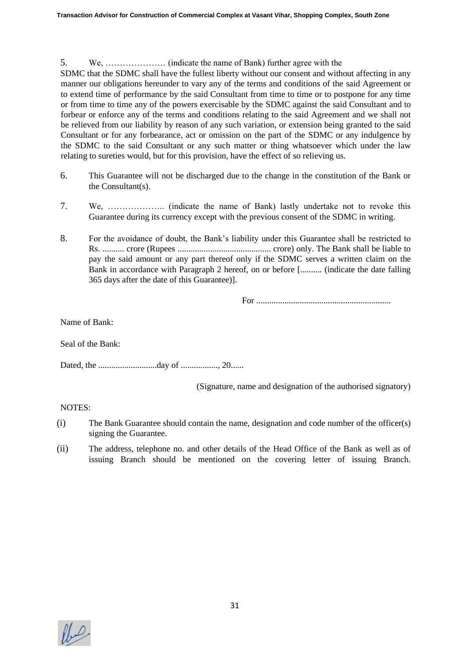### 5. We, ………………… (indicate the name of Bank) further agree with the

SDMC that the SDMC shall have the fullest liberty without our consent and without affecting in any manner our obligations hereunder to vary any of the terms and conditions of the said Agreement or to extend time of performance by the said Consultant from time to time or to postpone for any time or from time to time any of the powers exercisable by the SDMC against the said Consultant and to forbear or enforce any of the terms and conditions relating to the said Agreement and we shall not be relieved from our liability by reason of any such variation, or extension being granted to the said Consultant or for any forbearance, act or omission on the part of the SDMC or any indulgence by the SDMC to the said Consultant or any such matter or thing whatsoever which under the law relating to sureties would, but for this provision, have the effect of so relieving us.

- 6. This Guarantee will not be discharged due to the change in the constitution of the Bank or the Consultant(s).
- 7. We, ……………….. (indicate the name of Bank) lastly undertake not to revoke this Guarantee during its currency except with the previous consent of the SDMC in writing.
- 8. For the avoidance of doubt, the Bank's liability under this Guarantee shall be restricted to Rs. .......... crore (Rupees ........................................... crore) only. The Bank shall be liable to pay the said amount or any part thereof only if the SDMC serves a written claim on the Bank in accordance with Paragraph 2 hereof, on or before [.......... (indicate the date falling 365 days after the date of this Guarantee)].

For ..............................................................

Name of Bank:

Seal of the Bank:

Dated, the ...........................day of ................., 20......

(Signature, name and designation of the authorised signatory)

NOTES:

- (i) The Bank Guarantee should contain the name, designation and code number of the officer(s) signing the Guarantee.
- (ii) The address, telephone no. and other details of the Head Office of the Bank as well as of issuing Branch should be mentioned on the covering letter of issuing Branch.

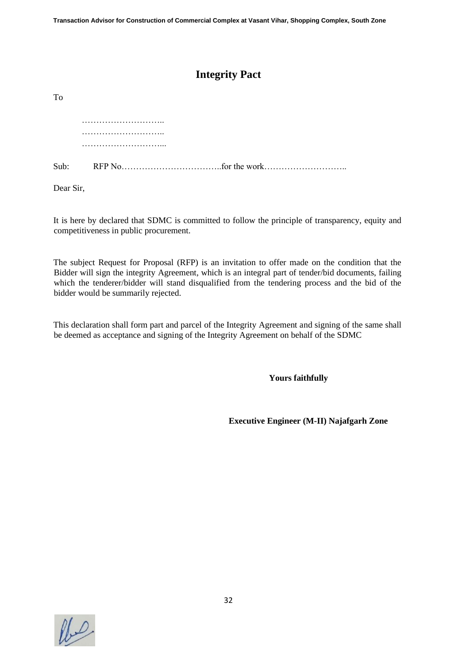# **Integrity Pact**

| To |  |
|----|--|
|    |  |
|    |  |
|    |  |
|    |  |

Dear Sir,

It is here by declared that SDMC is committed to follow the principle of transparency, equity and competitiveness in public procurement.

The subject Request for Proposal (RFP) is an invitation to offer made on the condition that the Bidder will sign the integrity Agreement, which is an integral part of tender/bid documents, failing which the tenderer/bidder will stand disqualified from the tendering process and the bid of the bidder would be summarily rejected.

This declaration shall form part and parcel of the Integrity Agreement and signing of the same shall be deemed as acceptance and signing of the Integrity Agreement on behalf of the SDMC

**Yours faithfully** 

**Executive Engineer (M-II) Najafgarh Zone**

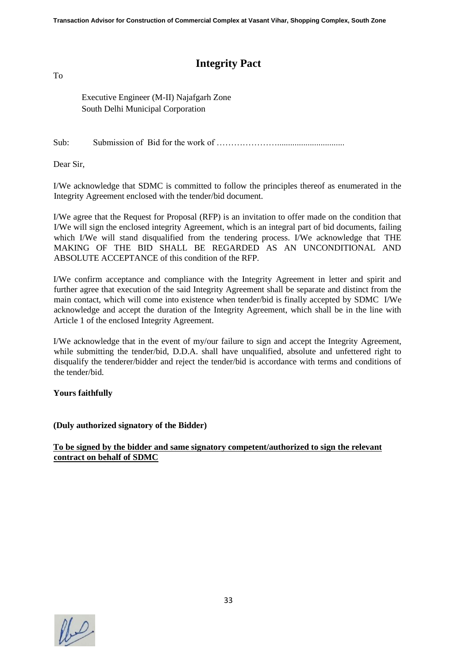# **Integrity Pact**

To

Executive Engineer (M-II) Najafgarh Zone South Delhi Municipal Corporation

Sub: Submission of Bid for the work of …………………...............................

Dear Sir,

I/We acknowledge that SDMC is committed to follow the principles thereof as enumerated in the Integrity Agreement enclosed with the tender/bid document.

I/We agree that the Request for Proposal (RFP) is an invitation to offer made on the condition that I/We will sign the enclosed integrity Agreement, which is an integral part of bid documents, failing which I/We will stand disqualified from the tendering process. I/We acknowledge that THE MAKING OF THE BID SHALL BE REGARDED AS AN UNCONDITIONAL AND ABSOLUTE ACCEPTANCE of this condition of the RFP.

I/We confirm acceptance and compliance with the Integrity Agreement in letter and spirit and further agree that execution of the said Integrity Agreement shall be separate and distinct from the main contact, which will come into existence when tender/bid is finally accepted by SDMC I/We acknowledge and accept the duration of the Integrity Agreement, which shall be in the line with Article 1 of the enclosed Integrity Agreement.

I/We acknowledge that in the event of my/our failure to sign and accept the Integrity Agreement, while submitting the tender/bid, D.D.A. shall have unqualified, absolute and unfettered right to disqualify the tenderer/bidder and reject the tender/bid is accordance with terms and conditions of the tender/bid.

# **Yours faithfully**

**(Duly authorized signatory of the Bidder)** 

**To be signed by the bidder and same signatory competent/authorized to sign the relevant contract on behalf of SDMC**

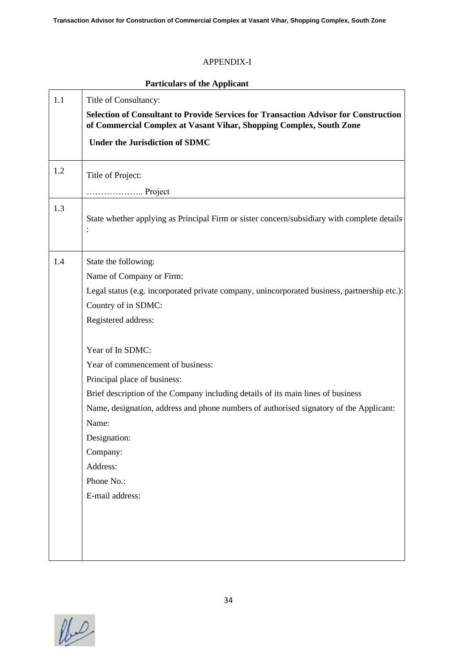# APPENDIX-I

|     | <b>Particulars of the Applicant</b>                                                                                                                                                         |  |  |  |  |
|-----|---------------------------------------------------------------------------------------------------------------------------------------------------------------------------------------------|--|--|--|--|
| 1.1 | Title of Consultancy:<br><b>Selection of Consultant to Provide Services for Transaction Advisor for Construction</b><br>of Commercial Complex at Vasant Vihar, Shopping Complex, South Zone |  |  |  |  |
|     | <b>Under the Jurisdiction of SDMC</b>                                                                                                                                                       |  |  |  |  |
| 1.2 | Title of Project:                                                                                                                                                                           |  |  |  |  |
|     | Project                                                                                                                                                                                     |  |  |  |  |
| 1.3 | State whether applying as Principal Firm or sister concern/subsidiary with complete details<br>$\ddot{\cdot}$                                                                               |  |  |  |  |
| 1.4 | State the following:<br>Name of Company or Firm:                                                                                                                                            |  |  |  |  |
|     | Legal status (e.g. incorporated private company, unincorporated business, partnership etc.):<br>Country of in SDMC:                                                                         |  |  |  |  |
|     | Registered address:<br>Year of In SDMC:                                                                                                                                                     |  |  |  |  |
|     | Year of commencement of business:                                                                                                                                                           |  |  |  |  |
|     | Principal place of business:                                                                                                                                                                |  |  |  |  |
|     | Brief description of the Company including details of its main lines of business                                                                                                            |  |  |  |  |
|     | Name, designation, address and phone numbers of authorised signatory of the Applicant:                                                                                                      |  |  |  |  |
|     | Name:                                                                                                                                                                                       |  |  |  |  |
|     | Designation:<br>Company:                                                                                                                                                                    |  |  |  |  |
|     | Address:                                                                                                                                                                                    |  |  |  |  |
|     | Phone No.:                                                                                                                                                                                  |  |  |  |  |
|     | E-mail address:                                                                                                                                                                             |  |  |  |  |
|     |                                                                                                                                                                                             |  |  |  |  |
|     |                                                                                                                                                                                             |  |  |  |  |
|     |                                                                                                                                                                                             |  |  |  |  |

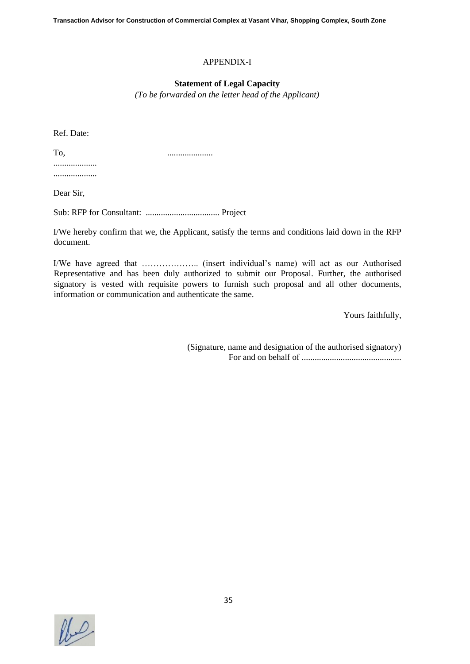#### APPENDIX-I

#### **Statement of Legal Capacity**

*(To be forwarded on the letter head of the Applicant)*

Ref. Date:

To, ..................... ....................

....................

Dear Sir,

Sub: RFP for Consultant: .................................. Project

I/We hereby confirm that we, the Applicant, satisfy the terms and conditions laid down in the RFP document.

I/We have agreed that ……………….. (insert individual's name) will act as our Authorised Representative and has been duly authorized to submit our Proposal. Further, the authorised signatory is vested with requisite powers to furnish such proposal and all other documents, information or communication and authenticate the same.

Yours faithfully,

(Signature, name and designation of the authorised signatory) For and on behalf of ..............................................

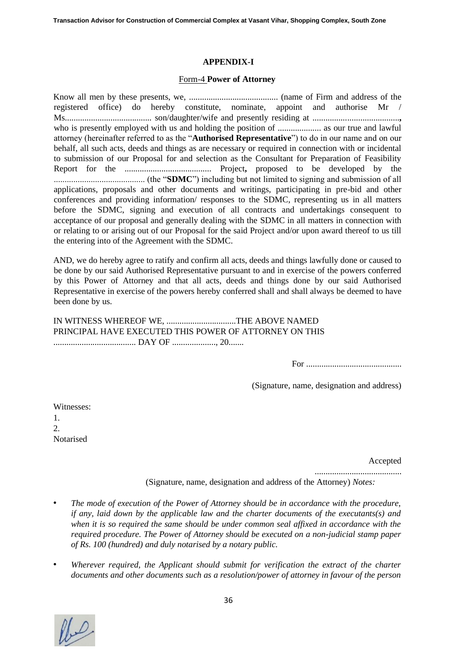#### **APPENDIX-I**

#### Form-4 **Power of Attorney**

Know all men by these presents, we, ......................................... (name of Firm and address of the registered office) do hereby constitute, nominate, appoint and authorise Mr / Ms........................................ son/daughter/wife and presently residing at ........................................**,** who is presently employed with us and holding the position of .................... as our true and lawful attorney (hereinafter referred to as the "**Authorised Representative**") to do in our name and on our behalf, all such acts, deeds and things as are necessary or required in connection with or incidental to submission of our Proposal for and selection as the Consultant for Preparation of Feasibility Report for the ........................................ Project**,** proposed to be developed by the .......................................... (the "**SDMC**") including but not limited to signing and submission of all applications, proposals and other documents and writings, participating in pre-bid and other conferences and providing information/ responses to the SDMC, representing us in all matters before the SDMC, signing and execution of all contracts and undertakings consequent to acceptance of our proposal and generally dealing with the SDMC in all matters in connection with or relating to or arising out of our Proposal for the said Project and/or upon award thereof to us till the entering into of the Agreement with the SDMC.

AND, we do hereby agree to ratify and confirm all acts, deeds and things lawfully done or caused to be done by our said Authorised Representative pursuant to and in exercise of the powers conferred by this Power of Attorney and that all acts, deeds and things done by our said Authorised Representative in exercise of the powers hereby conferred shall and shall always be deemed to have been done by us.

IN WITNESS WHEREOF WE, ................................THE ABOVE NAMED PRINCIPAL HAVE EXECUTED THIS POWER OF ATTORNEY ON THIS ...................................... DAY OF ...................., 20.......

For ............................................

(Signature, name, designation and address)

Witnesses: 1. 2. Notarised

Accepted

........................................

(Signature, name, designation and address of the Attorney) *Notes:* 

- *The mode of execution of the Power of Attorney should be in accordance with the procedure, if any, laid down by the applicable law and the charter documents of the executants(s) and when it is so required the same should be under common seal affixed in accordance with the required procedure. The Power of Attorney should be executed on a non-judicial stamp paper of Rs. 100 (hundred) and duly notarised by a notary public.*
- *Wherever required, the Applicant should submit for verification the extract of the charter documents and other documents such as a resolution/power of attorney in favour of the person*

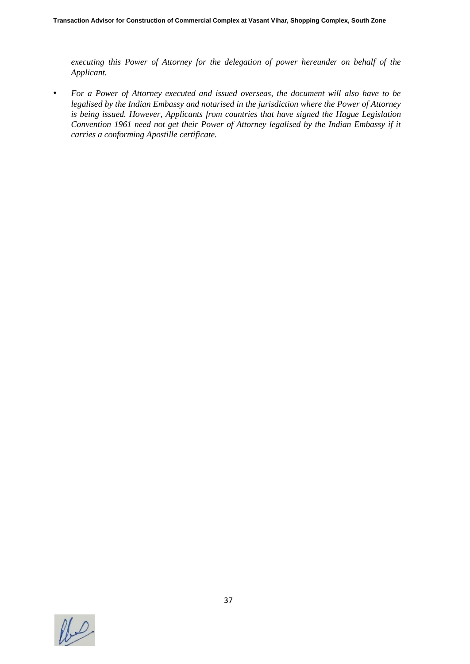*executing this Power of Attorney for the delegation of power hereunder on behalf of the Applicant.* 

• *For a Power of Attorney executed and issued overseas, the document will also have to be legalised by the Indian Embassy and notarised in the jurisdiction where the Power of Attorney is being issued. However, Applicants from countries that have signed the Hague Legislation Convention 1961 need not get their Power of Attorney legalised by the Indian Embassy if it carries a conforming Apostille certificate.* 

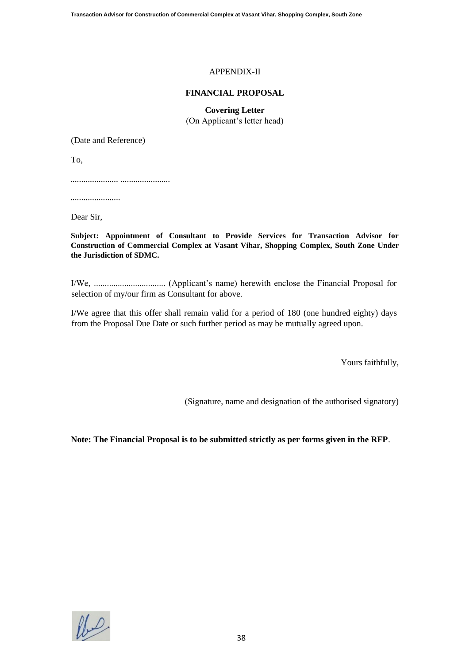# APPENDIX-II

### **FINANCIAL PROPOSAL**

**Covering Letter**  (On Applicant's letter head)

(Date and Reference)

To,

...................... .......................

.......................

Dear Sir,

**Subject: Appointment of Consultant to Provide Services for Transaction Advisor for Construction of Commercial Complex at Vasant Vihar, Shopping Complex, South Zone Under the Jurisdiction of SDMC.**

I/We, ................................. (Applicant's name) herewith enclose the Financial Proposal for selection of my/our firm as Consultant for above.

I/We agree that this offer shall remain valid for a period of 180 (one hundred eighty) days from the Proposal Due Date or such further period as may be mutually agreed upon.

Yours faithfully,

(Signature, name and designation of the authorised signatory)

**Note: The Financial Proposal is to be submitted strictly as per forms given in the RFP**.

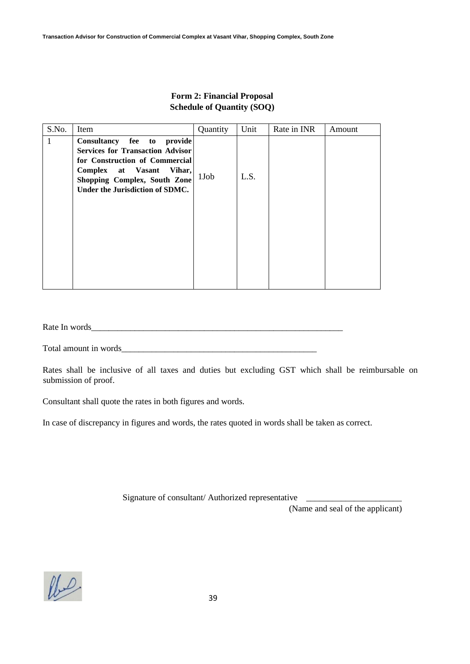| S.No. | Item                                                                                                                                                                                                      | Quantity | Unit | Rate in INR | Amount |
|-------|-----------------------------------------------------------------------------------------------------------------------------------------------------------------------------------------------------------|----------|------|-------------|--------|
| 1     | Consultancy fee to<br>provide<br><b>Services for Transaction Advisor</b><br>for Construction of Commercial<br>Complex at Vasant Vihar,<br>Shopping Complex, South Zone<br>Under the Jurisdiction of SDMC. | 1Job     | L.S. |             |        |
|       |                                                                                                                                                                                                           |          |      |             |        |

# **Form 2: Financial Proposal Schedule of Quantity (SOQ)**

Rate In words\_\_\_\_\_\_\_\_\_\_\_\_\_\_\_\_\_\_\_\_\_\_\_\_\_\_\_\_\_\_\_\_\_\_\_\_\_\_\_\_\_\_\_\_\_\_\_\_\_\_\_\_\_\_\_\_\_\_

Total amount in words\_\_\_\_\_\_\_\_\_\_\_\_\_\_\_\_\_\_\_\_\_\_\_\_\_\_\_\_\_\_\_\_\_\_\_\_\_\_\_\_\_\_\_\_\_

Rates shall be inclusive of all taxes and duties but excluding GST which shall be reimbursable on submission of proof.

Consultant shall quote the rates in both figures and words.

In case of discrepancy in figures and words, the rates quoted in words shall be taken as correct.

Signature of consultant/ Authorized representative

(Name and seal of the applicant)

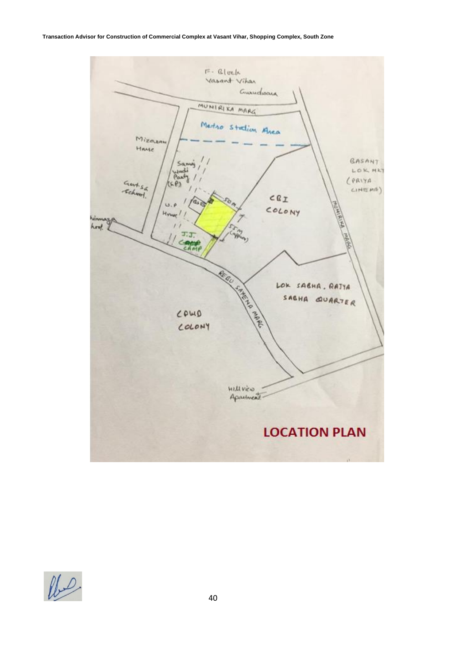#### **Transaction Advisor for Construction of Commercial Complex at Vasant Vihar, Shopping Complex, South Zone**



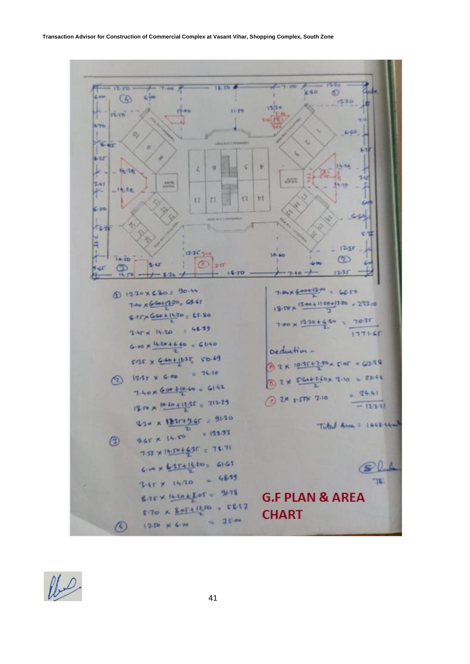